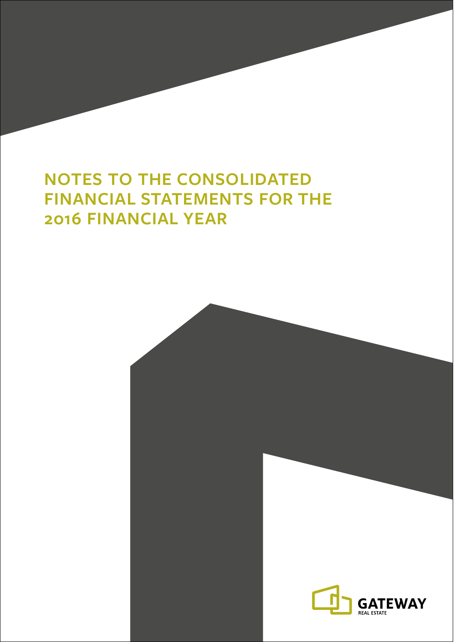# **NOTES TO THE CONSOLIDATED FINANCIAL STATEMENTS FOR THE 2016 FINANCIAL YEAR**

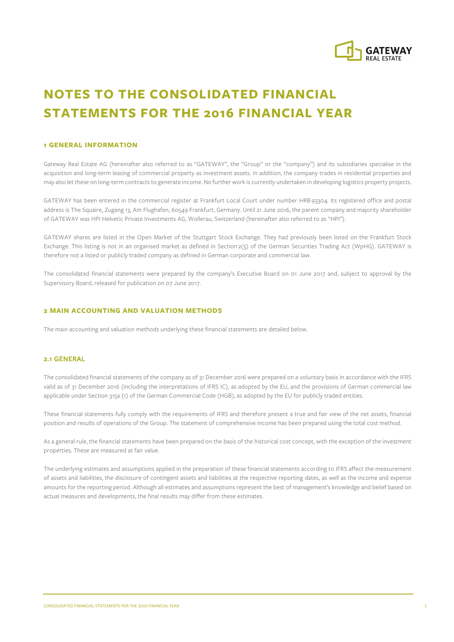

## **NOTES TO THE CONSOLIDATED FINANCIAL STATEMENTS FOR THE 2016 FINANCIAL YEAR**

#### **1 GENERAL INFORMATION**

Gateway Real Estate AG (hereinafter also referred to as "GATEWAY", the "Group" or the "company") and its subsidiaries specialise in the acquisition and long-term leasing of commercial property as investment assets. In addition, the company trades in residential properties and may also let these on long-term contracts to generate income. No further work is currently undertaken in developing logistics property projects.

GATEWAY has been entered in the commercial register at Frankfurt Local Court under number HRB 93304. Its registered office and postal address is The Squaire, Zugang 13, Am Flughafen, 60549 Frankfurt, Germany. Until 21 June 2016, the parent company and majority shareholder of GATEWAY was HPI Helvetic Private Investments AG, Wollerau, Switzerland (hereinafter also referred to as "HPI").

GATEWAY shares are listed in the Open Market of the Stuttgart Stock Exchange. They had previously been listed on the Frankfurt Stock Exchange. This listing is not in an organised market as defined in Section 2(5) of the German Securities Trading Act (WpHG). GATEWAY is therefore not a listed or publicly traded company as defined in German corporate and commercial law.

The consolidated financial statements were prepared by the company's Executive Board on 01 June 2017 and, subject to approval by the Supervisory Board, released for publication on 07 June 2017.

#### **2 MAIN ACCOUNTING AND VALUATION METHODS**

The main accounting and valuation methods underlying these financial statements are detailed below.

#### 2.1 GENERAL

The consolidated financial statements of the company as of 31 December 2016 were prepared on a voluntary basis in accordance with the IFRS valid as of 31 December 2016 (including the interpretations of IFRS IC), as adopted by the EU, and the provisions of German commercial law applicable under Section 315a (1) of the German Commercial Code (HGB), as adopted by the EU for publicly traded entities.

These financial statements fully comply with the requirements of IFRS and therefore present a true and fair view of the net assets, financial position and results of operations of the Group. The statement of comprehensive income has been prepared using the total cost method.

As a general rule, the financial statements have been prepared on the basis of the historical cost concept, with the exception of the investment properties. These are measured at fair value.

The underlying estimates and assumptions applied in the preparation of these financial statements according to IFRS affect the measurement of assets and liabilities, the disclosure of contingent assets and liabilities at the respective reporting dates, as well as the income and expense amounts for the reporting period. Although all estimates and assumptions represent the best of management's knowledge and belief based on actual measures and developments, the final results may differ from these estimates.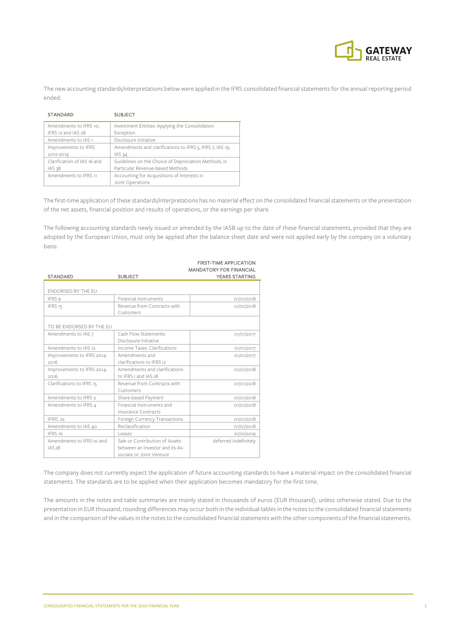

The new accounting standards/interpretations below were applied in the IFRS consolidated financial statements for the annual reporting period ended:

| <b>STANDARD</b>             | <b>SUBJECT</b>                                           |
|-----------------------------|----------------------------------------------------------|
| Amendments to IFRS 10,      | Investment Entities: Applying the Consolidation          |
| IFRS 12 and IAS 28          | Exception                                                |
| Amendments to IAS 1         | Disclosure Initiative                                    |
| Improvements to IFRS        | Amendments and clarifications to IFRS 5, IFRS 7, IAS 19, |
| 2012-2014                   | IAS 34                                                   |
| Clarification of IAS 16 and | Guidelines on the Choice of Depreciation Methods, in     |
| IAS 38                      | Particular Revenue-based Methods                         |
| Amendments to IFRS 11       | Accounting for Acquisitions of Interests in              |
|                             | Joint Operations                                         |

The first-time application of these standards/interpretations has no material effect on the consolidated financial statements or the presentation of the net assets, financial position and results of operations, or the earnings per share.

The following accounting standards newly issued or amended by the IASB up to the date of these financial statements, provided that they are adopted by the European Union, must only be applied after the balance sheet date and were not applied early by the company on a voluntary basis:

| <b>STANDARD</b>                     | <b>SUBJECT</b>                                                                                | <b>FIRST-TIME APPLICATION</b><br><b>MANDATORY FOR FINANCIAL</b><br><b>YEARS STARTING</b> |
|-------------------------------------|-----------------------------------------------------------------------------------------------|------------------------------------------------------------------------------------------|
|                                     |                                                                                               |                                                                                          |
| <b>ENDORSED BY THE EU</b>           |                                                                                               |                                                                                          |
| IFRS 9                              | <b>Financial Instruments</b>                                                                  | O1/O1/2O18                                                                               |
| IFRS <sub>15</sub>                  | Revenue from Contracts with<br>Customers                                                      | 01/01/2018                                                                               |
| TO BE ENDORSED BY THE EU            |                                                                                               |                                                                                          |
| Amendments to IAS 7                 | Cash Flow Statements:<br>Disclosure Initiative                                                | 01/01/2017                                                                               |
| Amendments to IAS 12                | Income Taxes: Clarifications                                                                  | 01/01/2017                                                                               |
| Improvements to IFRS 2014-<br>2016  | Amendments and<br>clarifications to IFRS 12                                                   | 01/01/2017                                                                               |
| Improvements to IFRS 2014-<br>2016  | Amendments and clarifications<br>to IFRS 1 and IAS 28                                         | 01/01/2018                                                                               |
| Clarifications to IFRS 15           | Revenue from Contracts with<br>Customers                                                      | O1/O1/2O18                                                                               |
| Amendments to IFRS 2                | Share-based Payment                                                                           | 01/01/2018                                                                               |
| Amendments to IFRS 4                | Financial Instruments and<br>Insurance Contracts                                              | O1/O1/2O18                                                                               |
| IFRIC <sub>22</sub>                 | Foreign Currency Transactions                                                                 | O1/O1/2O18                                                                               |
| Amendments to IAS 40                | Reclassification                                                                              | O1/O1/2O18                                                                               |
| IFRS 16                             | Leases                                                                                        | 01/01/2019                                                                               |
| Amendments to IFRS 10 and<br>IAS 28 | Sale or Contribution of Assets<br>between an Investor and its As-<br>sociate or Joint Venture | deferred indefinitely                                                                    |

The company does not currently expect the application of future accounting standards to have a material impact on the consolidated financial statements. The standards are to be applied when their application becomes mandatory for the first time.

The amounts in the notes and table summaries are mainly stated in thousands of euros (EUR thousand), unless otherwise stated. Due to the presentation in EUR thousand, rounding differences may occur both in the individual tables in the notes to the consolidated financial statements and in the comparison of the values in the notes to the consolidated financial statements with the other components of the financial statements.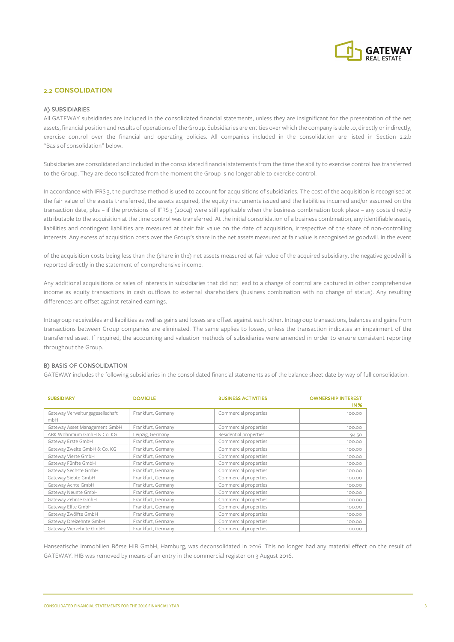

## 2.2 CONSOLIDATION

#### A) SUBSIDIARIES

All GATEWAY subsidiaries are included in the consolidated financial statements, unless they are insignificant for the presentation of the net assets, financial position and results of operations of the Group. Subsidiaries are entities over which the company is able to, directly or indirectly, exercise control over the financial and operating policies. All companies included in the consolidation are listed in Section 2.2.b "Basis of consolidation" below.

Subsidiaries are consolidated and included in the consolidated financial statements from the time the ability to exercise control has transferred to the Group. They are deconsolidated from the moment the Group is no longer able to exercise control.

In accordance with IFRS 3, the purchase method is used to account for acquisitions of subsidiaries. The cost of the acquisition is recognised at the fair value of the assets transferred, the assets acquired, the equity instruments issued and the liabilities incurred and/or assumed on the transaction date, plus – if the provisions of IFRS 3 (2004) were still applicable when the business combination took place – any costs directly attributable to the acquisition at the time control was transferred. At the initial consolidation of a business combination, any identifiable assets, liabilities and contingent liabilities are measured at their fair value on the date of acquisition, irrespective of the share of non-controlling interests. Any excess of acquisition costs over the Group's share in the net assets measured at fair value is recognised as goodwill. In the event

of the acquisition costs being less than the (share in the) net assets measured at fair value of the acquired subsidiary, the negative goodwill is reported directly in the statement of comprehensive income.

Any additional acquisitions or sales of interests in subsidiaries that did not lead to a change of control are captured in other comprehensive income as equity transactions in cash outflows to external shareholders (business combination with no change of status). Any resulting differences are offset against retained earnings.

Intragroup receivables and liabilities as well as gains and losses are offset against each other. Intragroup transactions, balances and gains from transactions between Group companies are eliminated. The same applies to losses, unless the transaction indicates an impairment of the transferred asset. If required, the accounting and valuation methods of subsidiaries were amended in order to ensure consistent reporting throughout the Group.

#### B) BASIS OF CONSOLIDATION

GATEWAY includes the following subsidiaries in the consolidated financial statements as of the balance sheet date by way of full consolidation.

| <b>SUBSIDIARY</b>               | <b>DOMICILE</b>    | <b>BUSINESS ACTIVITIES</b> | <b>OWNERSHIP INTEREST</b><br><b>IN%</b> |
|---------------------------------|--------------------|----------------------------|-----------------------------------------|
| Gateway Verwaltungsgesellschaft | Frankfurt, Germany | Commercial properties      | 100.00                                  |
| mbH                             |                    |                            |                                         |
| Gateway Asset Management GmbH   | Frankfurt, Germany | Commercial properties      | 100.00                                  |
| ABK Wohnraum GmbH & Co. KG      | Leipzig, Germany   | Residential properties     | 94.50                                   |
| Gateway Erste GmbH              | Frankfurt, Germany | Commercial properties      | 100.00                                  |
| Gateway Zweite GmbH & Co. KG    | Frankfurt, Germany | Commercial properties      | 100.00                                  |
| Gateway Vierte GmbH             | Frankfurt, Germany | Commercial properties      | 100.00                                  |
| Gateway Fünfte GmbH             | Frankfurt, Germany | Commercial properties      | 100.00                                  |
| Gateway Sechste GmbH            | Frankfurt, Germany | Commercial properties      | 100.00                                  |
| Gateway Siebte GmbH             | Frankfurt, Germany | Commercial properties      | 100.00                                  |
| Gateway Achte GmbH              | Frankfurt, Germany | Commercial properties      | 100.00                                  |
| Gateway Neunte GmbH             | Frankfurt, Germany | Commercial properties      | 100.00                                  |
| Gateway Zehnte GmbH             | Frankfurt, Germany | Commercial properties      | 100.00                                  |
| Gateway Elfte GmbH              | Frankfurt, Germany | Commercial properties      | 100.00                                  |
| Gateway Zwölfte GmbH            | Frankfurt, Germany | Commercial properties      | 100.00                                  |
| Gateway Dreizehnte GmbH         | Frankfurt, Germany | Commercial properties      | 100.00                                  |
| Gateway Vierzehnte GmbH         | Frankfurt, Germany | Commercial properties      | 100.00                                  |

Hanseatische Immobilien Börse HIB GmbH, Hamburg, was deconsolidated in 2016. This no longer had any material effect on the result of GATEWAY. HIB was removed by means of an entry in the commercial register on 3 August 2016.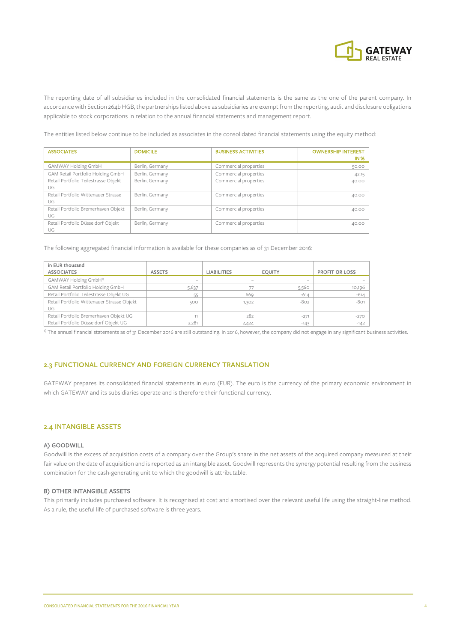

The reporting date of all subsidiaries included in the consolidated financial statements is the same as the one of the parent company. In accordance with Section 264b HGB, the partnerships listed above as subsidiaries are exempt from the reporting, audit and disclosure obligations applicable to stock corporations in relation to the annual financial statements and management report.

The entities listed below continue to be included as associates in the consolidated financial statements using the equity method:

| <b>ASSOCIATES</b>                          | <b>DOMICILE</b> | <b>BUSINESS ACTIVITIES</b> | <b>OWNERSHIP INTEREST</b><br><b>IN%</b> |
|--------------------------------------------|-----------------|----------------------------|-----------------------------------------|
| GAMWAY Holding GmbH                        | Berlin, Germany | Commercial properties      | 50.00                                   |
| GAM Retail Portfolio Holding GmbH          | Berlin, Germany | Commercial properties      | 42.15                                   |
| Retail Portfolio Teilestrasse Objekt<br>UG | Berlin, Germany | Commercial properties      | 40.00                                   |
| Retail Portfolio Wittenauer Strasse<br>UG  | Berlin, Germany | Commercial properties      | 40.00                                   |
| Retail Portfolio Bremerhaven Objekt<br>UG  | Berlin, Germany | Commercial properties      | 40.00                                   |
| Retail Portfolio Düsseldorf Objekt<br>UG   | Berlin, Germany | Commercial properties      | 40.00                                   |

The following aggregated financial information is available for these companies as of 31 December 2016:

| in EUR thousand<br><b>ASSOCIATES</b>             | <b>ASSETS</b> | <b>LIABILITIES</b>       | <b>EOUITY</b> | <b>PROFIT OR LOSS</b> |
|--------------------------------------------------|---------------|--------------------------|---------------|-----------------------|
| GAMWAY Holding GmbH <sup>1)</sup>                | -             | $\overline{\phantom{a}}$ |               |                       |
| GAM Retail Portfolio Holding GmbH                | 5,637         |                          | 5,560         | 10,196                |
| Retail Portfolio Teilestrasse Objekt UG          | 55            | 669                      | $-614$        | $-614$                |
| Retail Portfolio Wittenauer Strasse Objekt<br>UG | 500           | 1,302                    | $-802$        | $-801$                |
| Retail Portfolio Bremerhaven Objekt UG           | 11            | 282                      | $-271$        | $-270$                |
| Retail Portfolio Düsseldorf Objekt UG            | 2.281         | 2,424                    | $-143$        | $-142$                |

 $<sup>1</sup>$  The annual financial statements as of 31 December 2016 are still outstanding. In 2016, however, the company did not engage in any significant business activities.</sup>

## 2.3 FUNCTIONAL CURRENCY AND FOREIGN CURRENCY TRANSLATION

GATEWAY prepares its consolidated financial statements in euro (EUR). The euro is the currency of the primary economic environment in which GATEWAY and its subsidiaries operate and is therefore their functional currency.

#### 2.4 INTANGIBLE ASSETS

#### A) GOODWILL

Goodwill is the excess of acquisition costs of a company over the Group's share in the net assets of the acquired company measured at their fair value on the date of acquisition and is reported as an intangible asset. Goodwill represents the synergy potential resulting from the business combination for the cash-generating unit to which the goodwill is attributable.

#### B) OTHER INTANGIBLE ASSETS

This primarily includes purchased software. It is recognised at cost and amortised over the relevant useful life using the straight-line method. As a rule, the useful life of purchased software is three years.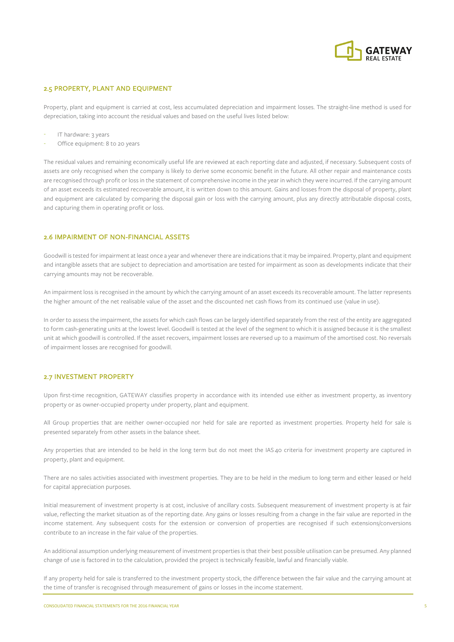

## 2.5 PROPERTY, PLANT AND EQUIPMENT

Property, plant and equipment is carried at cost, less accumulated depreciation and impairment losses. The straight-line method is used for depreciation, taking into account the residual values and based on the useful lives listed below:

- IT hardware: 3 years
- Office equipment: 8 to 20 years

The residual values and remaining economically useful life are reviewed at each reporting date and adjusted, if necessary. Subsequent costs of assets are only recognised when the company is likely to derive some economic benefit in the future. All other repair and maintenance costs are recognised through profit or loss in the statement of comprehensive income in the year in which they were incurred. If the carrying amount of an asset exceeds its estimated recoverable amount, it is written down to this amount. Gains and losses from the disposal of property, plant and equipment are calculated by comparing the disposal gain or loss with the carrying amount, plus any directly attributable disposal costs, and capturing them in operating profit or loss.

#### 2.6 IMPAIRMENT OF NON-FINANCIAL ASSETS

Goodwill is tested for impairment at least once a year and whenever there are indications that it may be impaired. Property, plant and equipment and intangible assets that are subject to depreciation and amortisation are tested for impairment as soon as developments indicate that their carrying amounts may not be recoverable.

An impairment loss is recognised in the amount by which the carrying amount of an asset exceeds its recoverable amount. The latter represents the higher amount of the net realisable value of the asset and the discounted net cash flows from its continued use (value in use).

In order to assess the impairment, the assets for which cash flows can be largely identified separately from the rest of the entity are aggregated to form cash-generating units at the lowest level. Goodwill is tested at the level of the segment to which it is assigned because it is the smallest unit at which goodwill is controlled. If the asset recovers, impairment losses are reversed up to a maximum of the amortised cost. No reversals of impairment losses are recognised for goodwill.

#### 2.7 INVESTMENT PROPERTY

Upon first-time recognition, GATEWAY classifies property in accordance with its intended use either as investment property, as inventory property or as owner-occupied property under property, plant and equipment.

All Group properties that are neither owner-occupied nor held for sale are reported as investment properties. Property held for sale is presented separately from other assets in the balance sheet.

Any properties that are intended to be held in the long term but do not meet the IAS 40 criteria for investment property are captured in property, plant and equipment.

There are no sales activities associated with investment properties. They are to be held in the medium to long term and either leased or held for capital appreciation purposes.

Initial measurement of investment property is at cost, inclusive of ancillary costs. Subsequent measurement of investment property is at fair value, reflecting the market situation as of the reporting date. Any gains or losses resulting from a change in the fair value are reported in the income statement. Any subsequent costs for the extension or conversion of properties are recognised if such extensions/conversions contribute to an increase in the fair value of the properties.

An additional assumption underlying measurement of investment properties is that their best possible utilisation can be presumed. Any planned change of use is factored in to the calculation, provided the project is technically feasible, lawful and financially viable.

If any property held for sale is transferred to the investment property stock, the difference between the fair value and the carrying amount at the time of transfer is recognised through measurement of gains or losses in the income statement.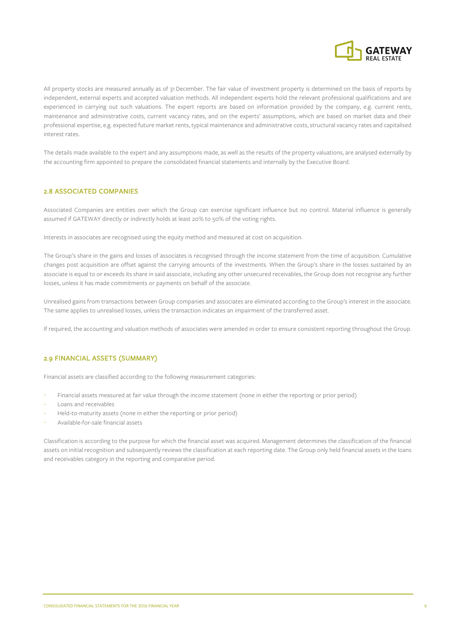

All property stocks are measured annually as of 31December. The fair value of investment property is determined on the basis of reports by independent, external experts and accepted valuation methods. All independent experts hold the relevant professional qualifications and are experienced in carrying out such valuations. The expert reports are based on information provided by the company, e.g. current rents, maintenance and administrative costs, current vacancy rates, and on the experts' assumptions, which are based on market data and their professional expertise, e.g. expected future market rents, typical maintenance and administrative costs, structural vacancy rates and capitalised interest rates.

The details made available to the expert and any assumptions made, as well as the results of the property valuations, are analysed externally by the accounting firm appointed to prepare the consolidated financial statements and internally by the Executive Board.

## 2.8 ASSOCIATED COMPANIES

Associated Companies are entities over which the Group can exercise significant influence but no control. Material influence is generally assumed if GATEWAY directly or indirectly holds at least 20% to 50% of the voting rights.

Interests in associates are recognised using the equity method and measured at cost on acquisition.

The Group's share in the gains and losses of associates is recognised through the income statement from the time of acquisition. Cumulative changes post acquisition are offset against the carrying amounts of the investments. When the Group's share in the losses sustained by an associate is equal to or exceeds its share in said associate, including any other unsecured receivables, the Group does not recognise any further losses, unless it has made commitments or payments on behalf of the associate.

Unrealised gains from transactions between Group companies and associates are eliminated according to the Group's interest in the associate. The same applies to unrealised losses, unless the transaction indicates an impairment of the transferred asset.

If required, the accounting and valuation methods of associates were amended in order to ensure consistent reporting throughout the Group.

## 2.9 FINANCIAL ASSETS (SUMMARY)

Financial assets are classified according to the following measurement categories:

- Financial assets measured at fair value through the income statement (none in either the reporting or prior period)
- Loans and receivables
- Held-to-maturity assets (none in either the reporting or prior period)
- Available-for-sale financial assets

Classification is according to the purpose for which the financial asset was acquired. Management determines the classification of the financial assets on initial recognition and subsequently reviews the classification at each reporting date. The Group only held financial assets in the loans and receivables category in the reporting and comparative period.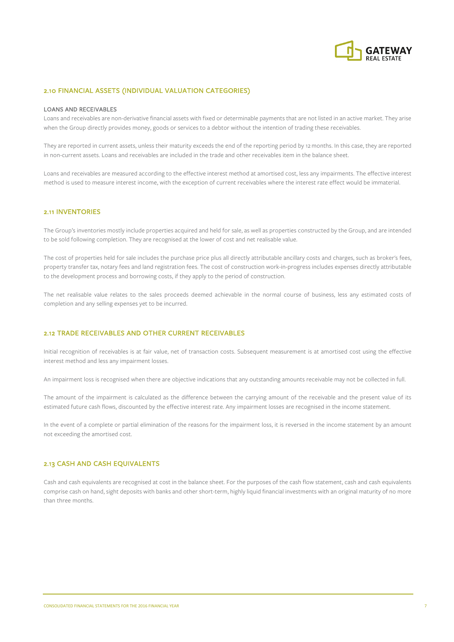

#### 2.10 FINANCIAL ASSETS (INDIVIDUAL VALUATION CATEGORIES)

#### LOANS AND RECEIVABLES

Loans and receivables are non-derivative financial assets with fixed or determinable payments that are not listed in an active market. They arise when the Group directly provides money, goods or services to a debtor without the intention of trading these receivables.

They are reported in current assets, unless their maturity exceeds the end of the reporting period by 12 months. In this case, they are reported in non-current assets. Loans and receivables are included in the trade and other receivables item in the balance sheet.

Loans and receivables are measured according to the effective interest method at amortised cost, less any impairments. The effective interest method is used to measure interest income, with the exception of current receivables where the interest rate effect would be immaterial.

#### 2.11 INVENTORIES

The Group's inventories mostly include properties acquired and held for sale, as well as properties constructed by the Group, and are intended to be sold following completion. They are recognised at the lower of cost and net realisable value.

The cost of properties held for sale includes the purchase price plus all directly attributable ancillary costs and charges, such as broker's fees, property transfer tax, notary fees and land registration fees. The cost of construction work-in-progress includes expenses directly attributable to the development process and borrowing costs, if they apply to the period of construction.

The net realisable value relates to the sales proceeds deemed achievable in the normal course of business, less any estimated costs of completion and any selling expenses yet to be incurred.

## 2.12 TRADE RECEIVABLES AND OTHER CURRENT RECEIVABLES

Initial recognition of receivables is at fair value, net of transaction costs. Subsequent measurement is at amortised cost using the effective interest method and less any impairment losses.

An impairment loss is recognised when there are objective indications that any outstanding amounts receivable may not be collected in full.

The amount of the impairment is calculated as the difference between the carrying amount of the receivable and the present value of its estimated future cash flows, discounted by the effective interest rate. Any impairment losses are recognised in the income statement.

In the event of a complete or partial elimination of the reasons for the impairment loss, it is reversed in the income statement by an amount not exceeding the amortised cost.

#### 2.13 CASH AND CASH EQUIVALENTS

Cash and cash equivalents are recognised at cost in the balance sheet. For the purposes of the cash flow statement, cash and cash equivalents comprise cash on hand, sight deposits with banks and other short-term, highly liquid financial investments with an original maturity of no more than three months.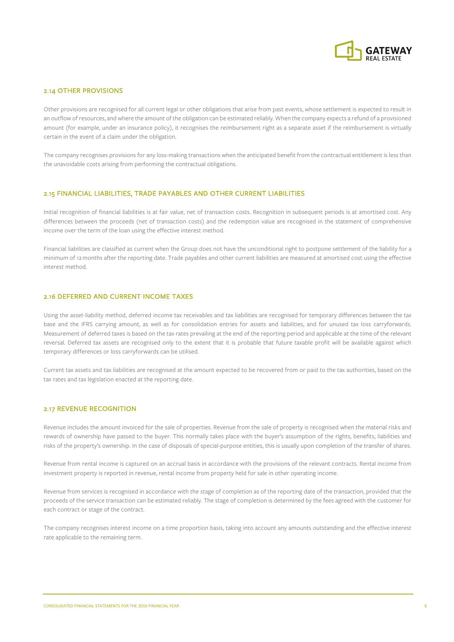

#### 2.14 OTHER PROVISIONS

Other provisions are recognised for all current legal or other obligations that arise from past events, whose settlement is expected to result in an outflow of resources, and where the amount of the obligation can be estimated reliably. When the company expects a refund of a provisioned amount (for example, under an insurance policy), it recognises the reimbursement right as a separate asset if the reimbursement is virtually certain in the event of a claim under the obligation.

The company recognises provisions for any loss-making transactions when the anticipated benefit from the contractual entitlement is less than the unavoidable costs arising from performing the contractual obligations.

#### 2.15 FINANCIAL LIABILITIES, TRADE PAYABLES AND OTHER CURRENT LIABILITIES

Initial recognition of financial liabilities is at fair value, net of transaction costs. Recognition in subsequent periods is at amortised cost. Any differences between the proceeds (net of transaction costs) and the redemption value are recognised in the statement of comprehensive income over the term of the loan using the effective interest method.

Financial liabilities are classified as current when the Group does not have the unconditional right to postpone settlement of the liability for a minimum of 12 months after the reporting date. Trade payables and other current liabilities are measured at amortised cost using the effective interest method.

## 2.16 DEFERRED AND CURRENT INCOME TAXES

Using the asset-liability method, deferred income tax receivables and tax liabilities are recognised for temporary differences between the tax base and the IFRS carrying amount, as well as for consolidation entries for assets and liabilities, and for unused tax loss carryforwards. Measurement of deferred taxes is based on the tax rates prevailing at the end of the reporting period and applicable at the time of the relevant reversal. Deferred tax assets are recognised only to the extent that it is probable that future taxable profit will be available against which temporary differences or loss carryforwards can be utilised.

Current tax assets and tax liabilities are recognised at the amount expected to be recovered from or paid to the tax authorities, based on the tax rates and tax legislation enacted at the reporting date.

#### 2.17 REVENUE RECOGNITION

Revenue includes the amount invoiced for the sale of properties. Revenue from the sale of property is recognised when the material risks and rewards of ownership have passed to the buyer. This normally takes place with the buyer's assumption of the rights, benefits, liabilities and risks of the property's ownership. In the case of disposals of special-purpose entities, this is usually upon completion of the transfer of shares.

Revenue from rental income is captured on an accrual basis in accordance with the provisions of the relevant contracts. Rental income from investment property is reported in revenue, rental income from property held for sale in other operating income.

Revenue from services is recognised in accordance with the stage of completion as of the reporting date of the transaction, provided that the proceeds of the service transaction can be estimated reliably. The stage of completion is determined by the fees agreed with the customer for each contract or stage of the contract.

The company recognises interest income on a time proportion basis, taking into account any amounts outstanding and the effective interest rate applicable to the remaining term.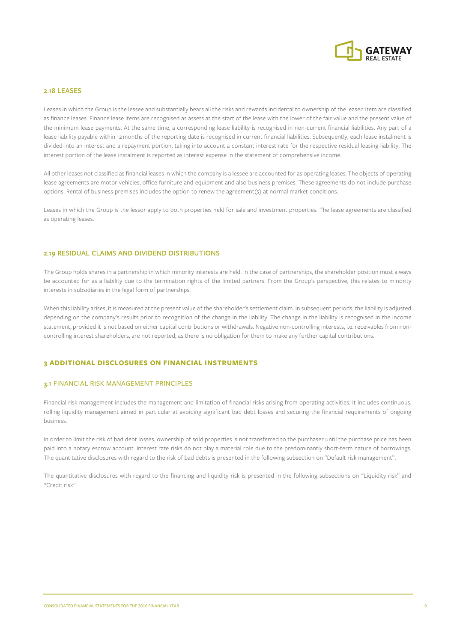

#### 2.18 LEASES

Leases in which the Group is the lessee and substantially bears all the risks and rewards incidental to ownership of the leased item are classified as finance leases. Finance lease items are recognised as assets at the start of the lease with the lower of the fair value and the present value of the minimum lease payments. At the same time, a corresponding lease liability is recognised in non-current financial liabilities. Any part of a lease liability payable within 12months of the reporting date is recognised in current financial liabilities. Subsequently, each lease instalment is divided into an interest and a repayment portion, taking into account a constant interest rate for the respective residual leasing liability. The interest portion of the lease instalment is reported as interest expense in the statement of comprehensive income.

All other leases not classified as financial leases in which the company is a lessee are accounted for as operating leases. The objects of operating lease agreements are motor vehicles, office furniture and equipment and also business premises. These agreements do not include purchase options. Rental of business premises includes the option to renew the agreement(s) at normal market conditions.

Leases in which the Group is the lessor apply to both properties held for sale and investment properties. The lease agreements are classified as operating leases.

#### 2.19 RESIDUAL CLAIMS AND DIVIDEND DISTRIBUTIONS

The Group holds shares in a partnership in which minority interests are held. In the case of partnerships, the shareholder position must always be accounted for as a liability due to the termination rights of the limited partners. From the Group's perspective, this relates to minority interests in subsidiaries in the legal form of partnerships.

When this liability arises, it is measured at the present value of the shareholder's settlement claim. In subsequent periods, the liability is adjusted depending on the company's results prior to recognition of the change in the liability. The change in the liability is recognised in the income statement, provided it is not based on either capital contributions or withdrawals. Negative non-controlling interests, i.e. receivables from noncontrolling interest shareholders, are not reported, as there is no obligation for them to make any further capital contributions.

#### **3 ADDITIONAL DISCLOSURES ON FINANCIAL INSTRUMENTS**

#### 3.1 FINANCIAL RISK MANAGEMENT PRINCIPLES

Financial risk management includes the management and limitation of financial risks arising from operating activities. It includes continuous, rolling liquidity management aimed in particular at avoiding significant bad debt losses and securing the financial requirements of ongoing business.

In order to limit the risk of bad debt losses, ownership of sold properties is not transferred to the purchaser until the purchase price has been paid into a notary escrow account. Interest rate risks do not play a material role due to the predominantly short-term nature of borrowings. The quantitative disclosures with regard to the risk of bad debts is presented in the following subsection on "Default risk management".

The quantitative disclosures with regard to the financing and liquidity risk is presented in the following subsections on "Liquidity risk" and "Credit risk"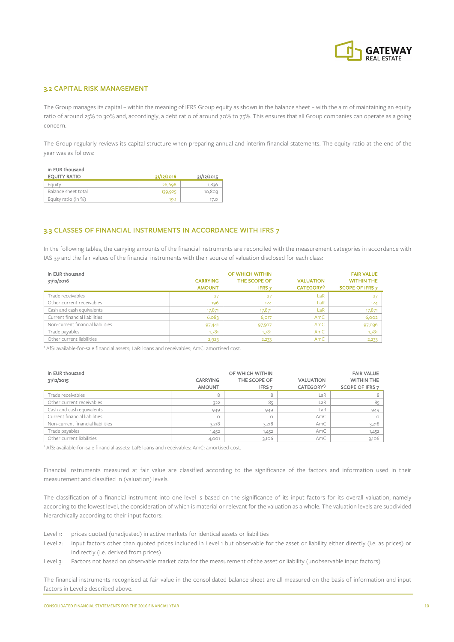

## 3.2 CAPITAL RISK MANAGEMENT

The Group manages its capital – within the meaning of IFRS Group equity as shown in the balance sheet – with the aim of maintaining an equity ratio of around 25% to 30% and, accordingly, a debt ratio of around 70% to 75%. This ensures that all Group companies can operate as a going concern.

The Group regularly reviews its capital structure when preparing annual and interim financial statements. The equity ratio at the end of the year was as follows:

|  | in EUR thousand |
|--|-----------------|
|  |                 |

| EQUITY RATIO        | 31/12/2016 | 31/12/2015 |
|---------------------|------------|------------|
| Equity              | 26,698     | .836       |
| Balance sheet total | 139,925    | 10,803     |
| Equity ratio (in %) | 19.1       |            |

## 3.3 CLASSES OF FINANCIAL INSTRUMENTS IN ACCORDANCE WITH IFRS 7

In the following tables, the carrying amounts of the financial instruments are reconciled with the measurement categories in accordance with IAS 39 and the fair values of the financial instruments with their source of valuation disclosed for each class:

| in EUR thousand                   |                 | OF WHICH WITHIN |                       | <b>FAIR VALUE</b>      |
|-----------------------------------|-----------------|-----------------|-----------------------|------------------------|
| 31/12/2016                        | <b>CARRYING</b> | THE SCOPE OF    | <b>VALUATION</b>      | <b>WITHIN THE</b>      |
|                                   | <b>AMOUNT</b>   | <b>IFRS 7</b>   | CATEGORY <sup>1</sup> | <b>SCOPE OF IFRS 7</b> |
| Trade receivables                 | 27              | 27              | LaR                   | 27                     |
| Other current receivables         | 196             | 124             | LaR                   | 124                    |
| Cash and cash equivalents         | 17,871          | 17,871          | LaR                   | 17,871                 |
| Current financial liabilities     | 6,083           | 6,017           | AmC                   | 6,002                  |
| Non-current financial liabilities | 97,441          | 97,507          | AmC                   | 97,036                 |
| Trade payables                    | 1,781           | 1,781           | AmC                   | 1,781                  |
| Other current liabilities         | 2,923           | 2,233           | AmC                   | 2,233                  |

<sup>1</sup> AfS: available-for-sale financial assets; LaR: loans and receivables; AmC: amortised cost.

| in EUR thousand<br>31/12/2015     | <b>CARRYING</b><br><b>AMOUNT</b> | OF WHICH WITHIN<br>THE SCOPE OF<br>IFRS <sub>7</sub> | <b>VALUATION</b><br>CATEGORY <sup>1</sup> | <b>FAIR VALUE</b><br><b>WITHIN THE</b><br>SCOPE OF IFRS 7 |
|-----------------------------------|----------------------------------|------------------------------------------------------|-------------------------------------------|-----------------------------------------------------------|
| Trade receivables                 | 8                                | 8                                                    | LaR                                       |                                                           |
| Other current receivables         | 322                              | 85                                                   | LaR                                       | 85                                                        |
| Cash and cash equivalents         | 949                              | 949                                                  | LaR                                       | 949                                                       |
| Current financial liabilities     | $\circ$                          | O                                                    | AmC                                       |                                                           |
| Non-current financial liabilities | 3,218                            | 3,218                                                | AmC                                       | 3,218                                                     |
| Trade payables                    | 1,452                            | 1,452                                                | AmC                                       | 1,452                                                     |
| Other current liabilities         | 4,001                            | 3.106                                                | AmC                                       | 3,106                                                     |

<sup>1</sup> AfS: available-for-sale financial assets; LaR: loans and receivables; AmC: amortised cost.

Financial instruments measured at fair value are classified according to the significance of the factors and information used in their measurement and classified in (valuation) levels.

The classification of a financial instrument into one level is based on the significance of its input factors for its overall valuation, namely according to the lowest level, the consideration of which is material or relevant for the valuation as a whole. The valuation levels are subdivided hierarchically according to their input factors:

Level 1: prices quoted (unadjusted) in active markets for identical assets or liabilities

- Level 2: Input factors other than quoted prices included in Level 1 but observable for the asset or liability either directly (i.e. as prices) or indirectly (i.e. derived from prices)
- Level 3: Factors not based on observable market data for the measurement of the asset or liability (unobservable input factors)

The financial instruments recognised at fair value in the consolidated balance sheet are all measured on the basis of information and input factors in Level 2 described above.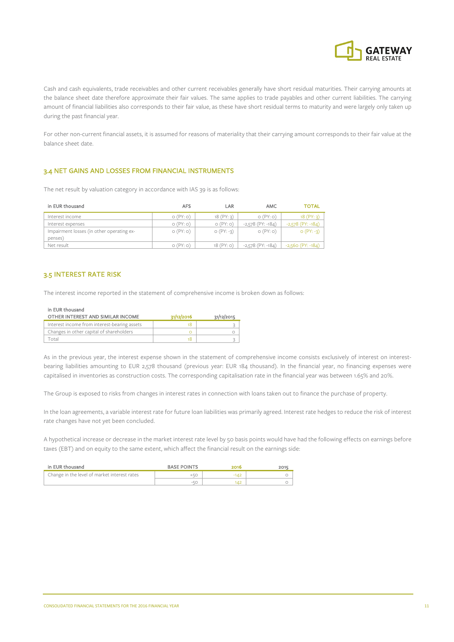

Cash and cash equivalents, trade receivables and other current receivables generally have short residual maturities. Their carrying amounts at the balance sheet date therefore approximate their fair values. The same applies to trade payables and other current liabilities. The carrying amount of financial liabilities also corresponds to their fair value, as these have short residual terms to maturity and were largely only taken up during the past financial year.

For other non-current financial assets, it is assumed for reasons of materiality that their carrying amount corresponds to their fair value at the balance sheet date.

#### 3.4 NET GAINS AND LOSSES FROM FINANCIAL INSTRUMENTS

The net result by valuation category in accordance with IAS 39 is as follows:

| in EUR thousand                           | AFS      | LAR             | AMC                    | TOTAL                  |
|-------------------------------------------|----------|-----------------|------------------------|------------------------|
| Interest income                           | O(PY; O) | 18(PY:3)        | O(PY; O)               | 18(PY:3)               |
| Interest expenses                         | O(PY; O) | O(PY:O)         | $-2,578$ (PY: $-184$ ) | $-2,578$ (PY: $-184$ ) |
| Impairment losses (in other operating ex- | O(PY:O)  | $O(PY: -3)$     | O(PY:O)                | $O(PY: -3)$            |
| penses)                                   |          |                 |                        |                        |
| Net result                                | O(PY; O) | $18$ (PY: $o$ ) | $-2,578$ (PY: $-184$ ) | $-2,560$ (PY: $-184$ ) |

## 3.5 INTEREST RATE RISK

The interest income reported in the statement of comprehensive income is broken down as follows:

#### in EUR thousand

| OTHER INTEREST AND SIMILAR INCOME            | 31/12/2016 | 31/12/2015 |
|----------------------------------------------|------------|------------|
| Interest income from interest-bearing assets |            |            |
| Changes in other capital of shareholders     |            |            |
| `otal                                        |            |            |

As in the previous year, the interest expense shown in the statement of comprehensive income consists exclusively of interest on interestbearing liabilities amounting to EUR 2,578 thousand (previous year: EUR 184 thousand). In the financial year, no financing expenses were capitalised in inventories as construction costs. The corresponding capitalisation rate in the financial year was between 1.65% and 20%.

The Group is exposed to risks from changes in interest rates in connection with loans taken out to finance the purchase of property.

In the loan agreements, a variable interest rate for future loan liabilities was primarily agreed. Interest rate hedges to reduce the risk of interest rate changes have not yet been concluded.

A hypothetical increase or decrease in the market interest rate level by 50 basis points would have had the following effects on earnings before taxes (EBT) and on equity to the same extent, which affect the financial result on the earnings side:

| in EUR thousand                              | <b>BASE POINTS</b> | 2016   | 2015 |
|----------------------------------------------|--------------------|--------|------|
| Change in the level of market interest rates | $+50$              | $-142$ |      |
|                                              | -5C                |        |      |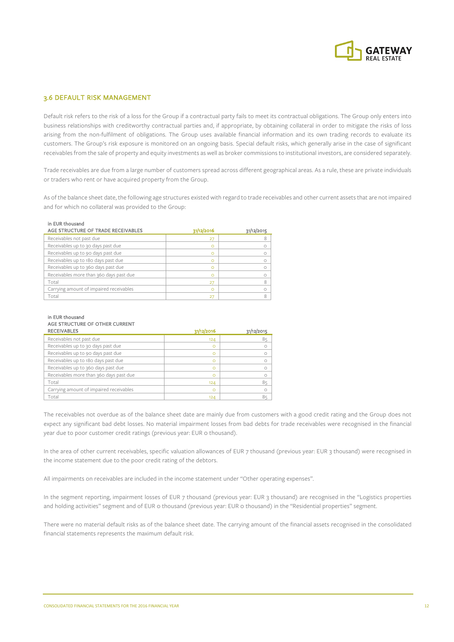

## 3.6 DEFAULT RISK MANAGEMENT

Default risk refers to the risk of a loss for the Group if a contractual party fails to meet its contractual obligations. The Group only enters into business relationships with creditworthy contractual parties and, if appropriate, by obtaining collateral in order to mitigate the risks of loss arising from the non-fulfilment of obligations. The Group uses available financial information and its own trading records to evaluate its customers. The Group's risk exposure is monitored on an ongoing basis. Special default risks, which generally arise in the case of significant receivables from the sale of property and equity investments as well as broker commissions to institutional investors, are considered separately.

Trade receivables are due from a large number of customers spread across different geographical areas. As a rule, these are private individuals or traders who rent or have acquired property from the Group.

As of the balance sheet date, the following age structures existed with regard to trade receivables and other current assets that are not impaired and for which no collateral was provided to the Group:

#### in EUR thousand

| AGE STRUCTURE OF TRADE RECEIVABLES      | 31/12/2016 | 31/12/2015 |
|-----------------------------------------|------------|------------|
| Receivables not past due                | 27         |            |
| Receivables up to 30 days past due      |            |            |
| Receivables up to 90 days past due      | ⌒          |            |
| Receivables up to 180 days past due     | O          | Ω          |
| Receivables up to 360 days past due     |            |            |
| Receivables more than 360 days past due |            |            |
| Total                                   | 27         |            |
| Carrying amount of impaired receivables |            |            |
| Total                                   |            |            |

#### in EUR thousand AGE STRUCTURE OF OTHER CURRENT

| <b>RECEIVABLES</b>                      | 31/12/2016 | 31/12/2015 |
|-----------------------------------------|------------|------------|
| Receivables not past due                | 124        | 85         |
| Receivables up to 30 days past due      | $\Omega$   |            |
| Receivables up to 90 days past due      | $\Omega$   |            |
| Receivables up to 180 days past due     | $\Omega$   |            |
| Receivables up to 360 days past due     | $\circ$    |            |
| Receivables more than 360 days past due | $\Omega$   |            |
| Total                                   | 124        | 85         |
| Carrying amount of impaired receivables | $\Omega$   | $\Omega$   |
| Total                                   | 124        | 85         |

The receivables not overdue as of the balance sheet date are mainly due from customers with a good credit rating and the Group does not expect any significant bad debt losses. No material impairment losses from bad debts for trade receivables were recognised in the financial year due to poor customer credit ratings (previous year: EUR 0 thousand).

In the area of other current receivables, specific valuation allowances of EUR 7 thousand (previous year: EUR 3 thousand) were recognised in the income statement due to the poor credit rating of the debtors.

All impairments on receivables are included in the income statement under "Other operating expenses".

In the segment reporting, impairment losses of EUR 7 thousand (previous year: EUR 3 thousand) are recognised in the "Logistics properties and holding activities" segment and of EUR 0 thousand (previous year: EUR 0 thousand) in the "Residential properties" segment.

There were no material default risks as of the balance sheet date. The carrying amount of the financial assets recognised in the consolidated financial statements represents the maximum default risk.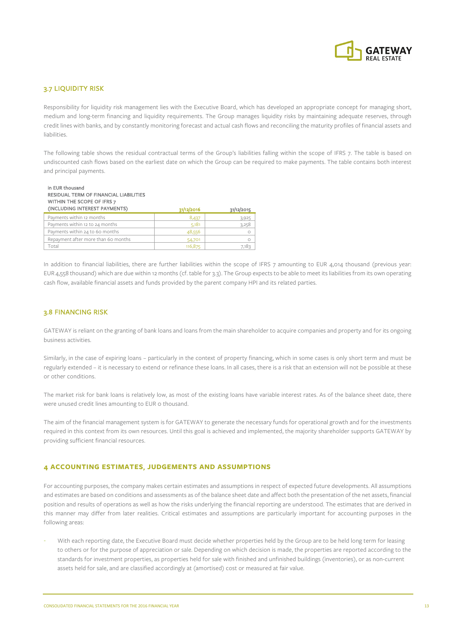

## 3.7 LIQUIDITY RISK

Responsibility for liquidity risk management lies with the Executive Board, which has developed an appropriate concept for managing short, medium and long-term financing and liquidity requirements. The Group manages liquidity risks by maintaining adequate reserves, through credit lines with banks, and by constantly monitoring forecast and actual cash flows and reconciling the maturity profiles of financial assets and liabilities.

The following table shows the residual contractual terms of the Group's liabilities falling within the scope of IFRS 7. The table is based on undiscounted cash flows based on the earliest date on which the Group can be required to make payments. The table contains both interest and principal payments.

| in EUR thousand<br>RESIDUAL TERM OF FINANCIAL LIABILITIES<br>WITHIN THE SCOPE OF IFRS 7<br>(INCLUDING INTEREST PAYMENTS) | 31/12/2016 | 31/12/2015 |
|--------------------------------------------------------------------------------------------------------------------------|------------|------------|
| Payments within 12 months                                                                                                | 8,437      | 3,925      |
| Payments within 12 to 24 months                                                                                          | 5,181      | 3,258      |
| Payments within 24 to 60 months                                                                                          | 48,556     | $\circ$    |
| Repayment after more than 60 months                                                                                      | 54,701     | $\circ$    |
| Total                                                                                                                    | 116,875    | 7,183      |

In addition to financial liabilities, there are further liabilities within the scope of IFRS 7 amounting to EUR 4,014 thousand (previous year: EUR 4,558 thousand) which are due within 12 months (cf. table for 3.3). The Group expects to be able to meet its liabilities from its own operating cash flow, available financial assets and funds provided by the parent company HPI and its related parties.

#### 3.8 FINANCING RISK

GATEWAY is reliant on the granting of bank loans and loans from the main shareholder to acquire companies and property and for its ongoing business activities.

Similarly, in the case of expiring loans – particularly in the context of property financing, which in some cases is only short term and must be regularly extended – it is necessary to extend or refinance these loans. In all cases, there is a risk that an extension will not be possible at these or other conditions.

The market risk for bank loans is relatively low, as most of the existing loans have variable interest rates. As of the balance sheet date, there were unused credit lines amounting to EUR o thousand.

The aim of the financial management system is for GATEWAY to generate the necessary funds for operational growth and for the investments required in this context from its own resources. Until this goal is achieved and implemented, the majority shareholder supports GATEWAY by providing sufficient financial resources.

#### **4 ACCOUNTING ESTIMATES**, **JUDGEMENTS AND ASSUMPTIONS**

For accounting purposes, the company makes certain estimates and assumptions in respect of expected future developments. All assumptions and estimates are based on conditions and assessments as of the balance sheet date and affect both the presentation of the net assets, financial position and results of operations as well as how the risks underlying the financial reporting are understood. The estimates that are derived in this manner may differ from later realities. Critical estimates and assumptions are particularly important for accounting purposes in the following areas:

With each reporting date, the Executive Board must decide whether properties held by the Group are to be held long term for leasing to others or for the purpose of appreciation or sale. Depending on which decision is made, the properties are reported according to the standards for investment properties, as properties held for sale with finished and unfinished buildings (inventories), or as non-current assets held for sale, and are classified accordingly at (amortised) cost or measured at fair value.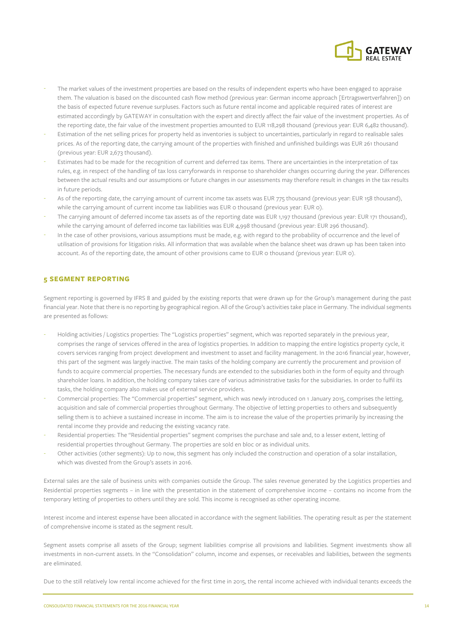

- The market values of the investment properties are based on the results of independent experts who have been engaged to appraise them. The valuation is based on the discounted cash flow method (previous year: German income approach [Ertragswertverfahren]) on the basis of expected future revenue surpluses. Factors such as future rental income and applicable required rates of interest are estimated accordingly by GATEWAY in consultation with the expert and directly affect the fair value of the investment properties. As of the reporting date, the fair value of the investment properties amounted to EUR 118,298 thousand (previous year: EUR 6,482 thousand).
- Estimation of the net selling prices for property held as inventories is subject to uncertainties, particularly in regard to realisable sales prices. As of the reporting date, the carrying amount of the properties with finished and unfinished buildings was EUR 261 thousand (previous year: EUR 2,673 thousand).
- Estimates had to be made for the recognition of current and deferred tax items. There are uncertainties in the interpretation of tax rules, e.g. in respect of the handling of tax loss carryforwards in response to shareholder changes occurring during the year. Differences between the actual results and our assumptions or future changes in our assessments may therefore result in changes in the tax results in future periods.
- As of the reporting date, the carrying amount of current income tax assets was EUR 775 thousand (previous year: EUR 158 thousand), while the carrying amount of current income tax liabilities was EUR o thousand (previous year: EUR 0).
- The carrying amount of deferred income tax assets as of the reporting date was EUR 1,197 thousand (previous year: EUR 171 thousand), while the carrying amount of deferred income tax liabilities was EUR 4,998 thousand (previous year: EUR 296 thousand).
- In the case of other provisions, various assumptions must be made, e.g. with regard to the probability of occurrence and the level of utilisation of provisions for litigation risks. All information that was available when the balance sheet was drawn up has been taken into account. As of the reporting date, the amount of other provisions came to EUR 0 thousand (previous year: EUR 0).

#### **5 SEGMENT REPORTING**

Segment reporting is governed by IFRS 8 and guided by the existing reports that were drawn up for the Group's management during the past financial year. Note that there is no reporting by geographical region. All of the Group's activities take place in Germany. The individual segments are presented as follows:

- Holding activities / Logistics properties: The "Logistics properties" segment, which was reported separately in the previous year, comprises the range of services offered in the area of logistics properties. In addition to mapping the entire logistics property cycle, it covers services ranging from project development and investment to asset and facility management. In the 2016 financial year, however, this part of the segment was largely inactive. The main tasks of the holding company are currently the procurement and provision of funds to acquire commercial properties. The necessary funds are extended to the subsidiaries both in the form of equity and through shareholder loans. In addition, the holding company takes care of various administrative tasks for the subsidiaries. In order to fulfil its tasks, the holding company also makes use of external service providers.
- Commercial properties: The "Commercial properties" segment, which was newly introduced on 1 January 2015, comprises the letting, acquisition and sale of commercial properties throughout Germany. The objective of letting properties to others and subsequently selling them is to achieve a sustained increase in income. The aim is to increase the value of the properties primarily by increasing the rental income they provide and reducing the existing vacancy rate.
- Residential properties: The "Residential properties" segment comprises the purchase and sale and, to a lesser extent, letting of residential properties throughout Germany. The properties are sold en bloc or as individual units.
- Other activities (other segments): Up to now, this segment has only included the construction and operation of a solar installation, which was divested from the Group's assets in 2016.

External sales are the sale of business units with companies outside the Group. The sales revenue generated by the Logistics properties and Residential properties segments – in line with the presentation in the statement of comprehensive income – contains no income from the temporary letting of properties to others until they are sold. This income is recognised as other operating income.

Interest income and interest expense have been allocated in accordance with the segment liabilities. The operating result as per the statement of comprehensive income is stated as the segment result.

Segment assets comprise all assets of the Group; segment liabilities comprise all provisions and liabilities. Segment investments show all investments in non-current assets. In the "Consolidation" column, income and expenses, or receivables and liabilities, between the segments are eliminated.

Due to the still relatively low rental income achieved for the first time in 2015, the rental income achieved with individual tenants exceeds the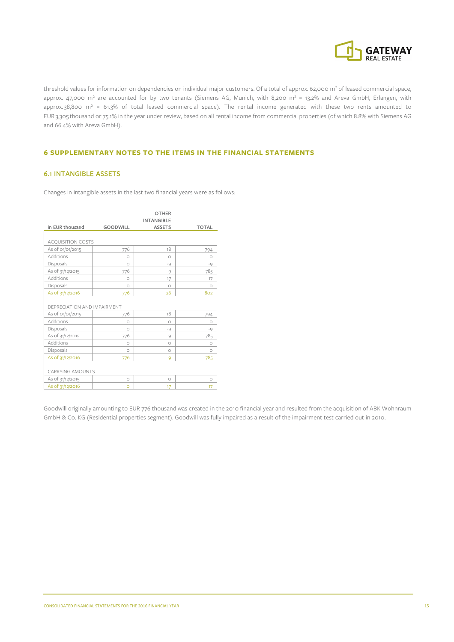

threshold values for information on dependencies on individual major customers. Of a total of approx. 62,000 m<sup>2</sup> of leased commercial space, approx. 47,000 m<sup>2</sup> are accounted for by two tenants (Siemens AG, Munich, with 8,200 m<sup>2</sup> = 13.2% and Areva GmbH, Erlangen, with approx.  $38,800$  m<sup>2</sup> = 61.3% of total leased commercial space). The rental income generated with these two rents amounted to EUR 3,305 thousand or 75.1% in the year under review, based on all rental income from commercial properties (of which 8.8% with Siemens AG and 66.4% with Areva GmbH).

#### **6 SUPPLEMENTARY NOTES TO THE ITEMS IN THE FINANCIAL STATEMENTS**

#### 6.1 INTANGIBLE ASSETS

Changes in intangible assets in the last two financial years were as follows:

|                             |                 | <b>OTHER</b>      |              |
|-----------------------------|-----------------|-------------------|--------------|
|                             |                 | <b>INTANGIBLE</b> |              |
| in EUR thousand             | <b>GOODWILL</b> | <b>ASSETS</b>     | <b>TOTAL</b> |
|                             |                 |                   |              |
| <b>ACQUISITION COSTS</b>    |                 |                   |              |
| As of 01/01/2015            | 776             | 18                | 794          |
| Additions                   | $\circ$         | $\circ$           | $\circ$      |
| Disposals                   | $\circ$         | $-Q$              | $-9$         |
| As of 31/12/2015            | 776             | 9                 | 785          |
| Additions                   | $\circ$         | 17                | 17           |
| Disposals                   | $\circ$         | $\circ$           | $\bigcirc$   |
| As of 31/12/2016            | 776             | 26                | 802          |
|                             |                 |                   |              |
| DEPRECIATION AND IMPAIRMENT |                 |                   |              |
| As of 01/01/2015            | 776             | 18                | 794          |
| Additions                   | $\circ$         | $\circ$           | $\circ$      |
| Disposals                   | $\circ$         | $-9$              | $-Q$         |
| As of 31/12/2015            | 776             | 9                 | 785          |
| Additions                   | $\circ$         | $\circ$           | $\circ$      |
| Disposals                   | $\circ$         | $\circ$           | $\circ$      |
| As of 31/12/2016            | 776             | 9                 | 785          |
|                             |                 |                   |              |
| <b>CARRYING AMOUNTS</b>     |                 |                   |              |
| As of 31/12/2015            | $\circ$         | $\circ$           | $\circ$      |
| As of 31/12/2016            | $\Omega$        | 17                | 17           |

Goodwill originally amounting to EUR 776 thousand was created in the 2010 financial year and resulted from the acquisition of ABK Wohnraum GmbH & Co. KG (Residential properties segment). Goodwill was fully impaired as a result of the impairment test carried out in 2010.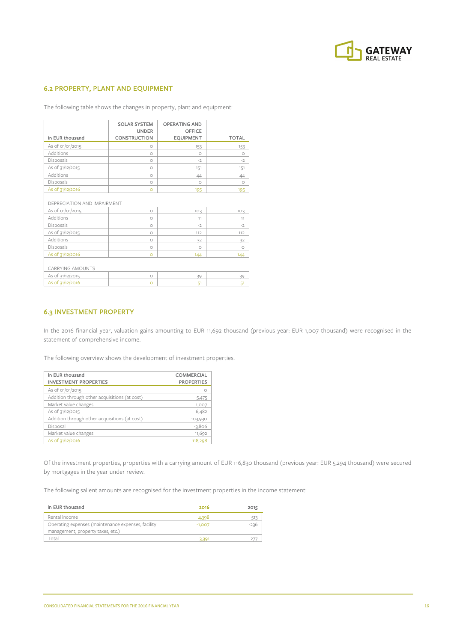

## 6.2 PROPERTY, PLANT AND EQUIPMENT

The following table shows the changes in property, plant and equipment:

| in EUR thousand             | <b>SOLAR SYSTEM</b><br><b>UNDER</b><br><b>CONSTRUCTION</b> | <b>OPERATING AND</b><br><b>OFFICE</b><br><b>EQUIPMENT</b> | <b>TOTAL</b> |
|-----------------------------|------------------------------------------------------------|-----------------------------------------------------------|--------------|
| As of 01/01/2015            | $\circ$                                                    | 153                                                       | 153          |
| Additions                   | $\circ$                                                    | $\circ$                                                   | $\circ$      |
| Disposals                   | $\circ$                                                    | $-2$                                                      | $-2$         |
| As of 31/12/2015            | $\circ$                                                    | 151                                                       | 151          |
| Additions                   | $\circ$                                                    | 44                                                        | 44           |
| Disposals                   | $\circ$                                                    | $\circ$                                                   | $\circ$      |
| As of 31/12/2016            | $\circ$                                                    | 195                                                       | 195          |
| DEPRECIATION AND IMPAIRMENT |                                                            |                                                           |              |
| As of 01/01/2015            | $\circ$                                                    | 103                                                       | 103          |
| Additions                   | $\circ$                                                    | 11                                                        | 11           |
| Disposals                   | $\circ$                                                    | $-2$                                                      | $-2$         |
| As of 31/12/2015            | $\circ$                                                    | 112                                                       | 112          |
| Additions                   | $\circ$                                                    | 32                                                        | 32           |
| Disposals                   | $\circ$                                                    | $\circ$                                                   | $\circ$      |
| As of 31/12/2016            | $\circ$                                                    | 144                                                       | 144          |
| <b>CARRYING AMOUNTS</b>     |                                                            |                                                           |              |
| As of 31/12/2015            | $\circ$                                                    | 39                                                        | 39           |
| As of 31/12/2016            | $\circ$                                                    | 51                                                        | 51           |

#### 6.3 INVESTMENT PROPERTY

In the 2016 financial year, valuation gains amounting to EUR 11,692 thousand (previous year: EUR 1,007 thousand) were recognised in the statement of comprehensive income.

The following overview shows the development of investment properties.

| in EUR thousand<br><b>INVESTMENT PROPERTIES</b> | <b>COMMERCIAL</b><br><b>PROPERTIES</b> |
|-------------------------------------------------|----------------------------------------|
| As of 01/01/2015                                |                                        |
| Addition through other acquisitions (at cost)   | 5,475                                  |
| Market value changes                            | 1,007                                  |
| As of 31/12/2015                                | 6,482                                  |
| Addition through other acquisitions (at cost)   | 103,930                                |
| Disposal                                        | $-3,806$                               |
| Market value changes                            | 11,692                                 |
| As of 31/12/2016                                | 118,298                                |

Of the investment properties, properties with a carrying amount of EUR 116,830 thousand (previous year: EUR 5,294 thousand) were secured by mortgages in the year under review.

The following salient amounts are recognised for the investment properties in the income statement:

| in EUR thousand                                                                         | 2016     | 2015 |
|-----------------------------------------------------------------------------------------|----------|------|
| Rental income                                                                           | 4.398    |      |
| Operating expenses (maintenance expenses, facility<br>management, property taxes, etc.) | $-1,007$ |      |
| otal                                                                                    | 3.30.    |      |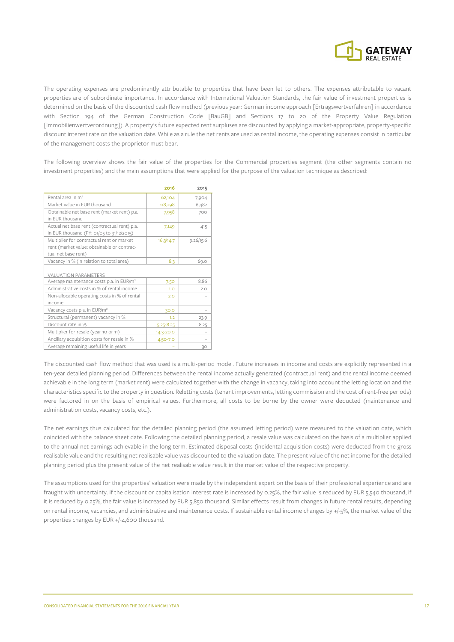

The operating expenses are predominantly attributable to properties that have been let to others. The expenses attributable to vacant properties are of subordinate importance. In accordance with International Valuation Standards, the fair value of investment properties is determined on the basis of the discounted cash flow method (previous year: German income approach [Ertragswertverfahren] in accordance with Section 194 of the German Construction Code [BauGB] and Sections 17 to 20 of the Property Value Regulation [Immobilienwertverordnung]). A property's future expected rent surpluses are discounted by applying a market-appropriate, property-specific discount interest rate on the valuation date. While as a rule the net rents are used as rental income, the operating expenses consist in particular of the management costs the proprietor must bear.

The following overview shows the fair value of the properties for the Commercial properties segment (the other segments contain no investment properties) and the main assumptions that were applied for the purpose of the valuation technique as described:

|                                                                                                                | 2016          | 2015      |
|----------------------------------------------------------------------------------------------------------------|---------------|-----------|
| Rental area in m <sup>2</sup>                                                                                  | 62,104        | 7,904     |
| Market value in EUR thousand                                                                                   | 118,298       | 6,482     |
| Obtainable net base rent (market rent) p.a.<br>in EUR thousand                                                 | 7,958         | 700       |
| Actual net base rent (contractual rent) p.a.<br>in EUR thousand (PY: 01/05 to 31/12/2015)                      | 7,149         | 415       |
| Multiplier for contractual rent or market<br>rent (market value: obtainable or contrac-<br>tual net base rent) | 16.3/14.7     | 9.26/15.6 |
| Vacancy in % (in relation to total area)                                                                       | 8.3           | 69.0      |
| <b>VALUATION PARAMETERS</b>                                                                                    |               |           |
| Average maintenance costs p.a. in EUR/m <sup>2</sup>                                                           | 7.50          | 8.86      |
| Administrative costs in % of rental income                                                                     | 1.0           | 2.0       |
| Non-allocable operating costs in % of rental<br>income                                                         | 2.0           |           |
| Vacancy costs p.a. in EUR/m <sup>2</sup>                                                                       | 30.0          |           |
| Structural (permanent) vacancy in %                                                                            | 1.2           | 23.9      |
| Discount rate in %                                                                                             | $5.25 - 8.25$ | 8.25      |
| Multiplier for resale (year 10 or 11)                                                                          | 14.3-20.0     |           |
| Ancillary acquisition costs for resale in %                                                                    | 4.50-7.0      |           |
| Average remaining useful life in years                                                                         |               | 30        |

The discounted cash flow method that was used is a multi-period model. Future increases in income and costs are explicitly represented in a ten-year detailed planning period. Differences between the rental income actually generated (contractual rent) and the rental income deemed achievable in the long term (market rent) were calculated together with the change in vacancy, taking into account the letting location and the characteristics specific to the property in question. Reletting costs (tenant improvements, letting commission and the cost of rent-free periods) were factored in on the basis of empirical values. Furthermore, all costs to be borne by the owner were deducted (maintenance and administration costs, vacancy costs, etc.).

The net earnings thus calculated for the detailed planning period (the assumed letting period) were measured to the valuation date, which coincided with the balance sheet date. Following the detailed planning period, a resale value was calculated on the basis of a multiplier applied to the annual net earnings achievable in the long term. Estimated disposal costs (incidental acquisition costs) were deducted from the gross realisable value and the resulting net realisable value was discounted to the valuation date. The present value of the net income for the detailed planning period plus the present value of the net realisable value result in the market value of the respective property.

The assumptions used for the properties' valuation were made by the independent expert on the basis of their professional experience and are fraught with uncertainty. If the discount or capitalisation interest rate is increased by 0.25%, the fair value is reduced by EUR 5,540 thousand; if it is reduced by 0.25%, the fair value is increased by EUR 5,850 thousand. Similar effects result from changes in future rental results, depending on rental income, vacancies, and administrative and maintenance costs. If sustainable rental income changes by +/-5%, the market value of the properties changes by EUR +/-4,600 thousand.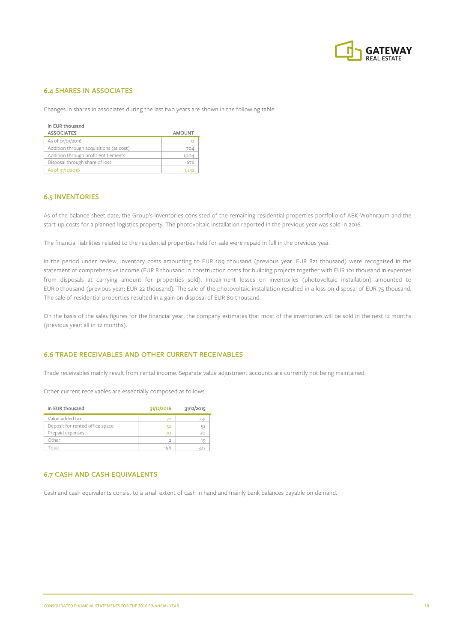

## 6.4 SHARES IN ASSOCIATES

Changes in shares in associates during the last two years are shown in the following table:

| in EUR thousand<br><b>ASSOCIATES</b>    | <b>AMOUNT</b> |
|-----------------------------------------|---------------|
| As of 01/01/2016                        |               |
| Addition through acquisitions (at cost) | 704           |
| Addition through profit entitlements    | 1,204         |
| Disposal through share of loss          | $-676$        |
| As of 31/12/2016                        | 1,232         |

#### 6.5 INVENTORIES

As of the balance sheet date, the Group's inventories consisted of the remaining residential properties portfolio of ABK Wohnraum and the start-up costs for a planned logistics property. The photovoltaic installation reported in the previous year was sold in 2016.

The financial liabilities related to the residential properties held for sale were repaid in full in the previous year.

In the period under review, inventory costs amounting to EUR 109 thousand (previous year: EUR 821 thousand) were recognised in the statement of comprehensive income (EUR 8 thousand in construction costs for building projects together with EUR 101 thousand in expenses from disposals at carrying amount for properties sold). Impairment losses on inventories (photovoltaic installation) amounted to EUR 0 thousand (previous year: EUR 22 thousand). The sale of the photovoltaic installation resulted in a loss on disposal of EUR 75 thousand. The sale of residential properties resulted in a gain on disposal of EUR 80 thousand.

On the basis of the sales figures for the financial year, the company estimates that most of the inventories will be sold in the next 12 months (previous year: all in 12 months).

## 6.6 TRADE RECEIVABLES AND OTHER CURRENT RECEIVABLES

Trade receivables mainly result from rental income. Separate value adjustment accounts are currently not being maintained.

Other current receivables are essentially composed as follows:

| in EUR thousand                 | 31/12/2016 | 31/12/2015 |
|---------------------------------|------------|------------|
| Value-added tax                 |            | 237        |
| Deposit for rented office space |            | 52         |
| Prepaid expenses                |            | 20         |
| Other                           |            | 19         |
| Total                           | 196        | 322        |

## 6.7 CASH AND CASH EQUIVALENTS

Cash and cash equivalents consist to a small extent of cash in hand and mainly bank balances payable on demand.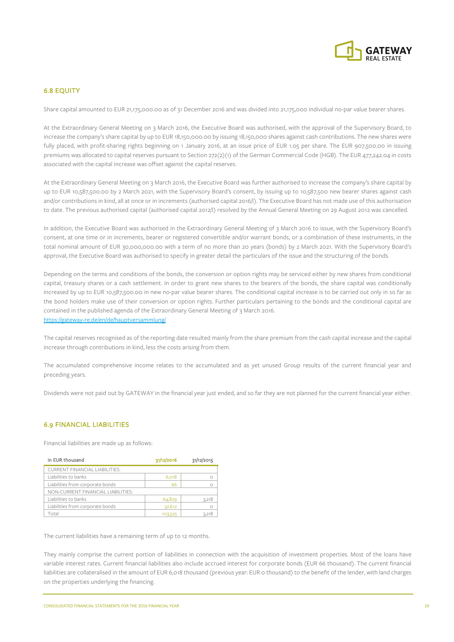

## 6.8 EQUITY

Share capital amounted to EUR 21,175,000.00 as of 31 December 2016 and was divided into 21,175,000 individual no-par value bearer shares.

At the Extraordinary General Meeting on 3 March 2016, the Executive Board was authorised, with the approval of the Supervisory Board, to increase the company's share capital by up to EUR 18,150,000.00 by issuing 18,150,000 shares against cash contributions. The new shares were fully placed, with profit-sharing rights beginning on 1 January 2016, at an issue price of EUR 1.05 per share. The EUR 907,500.00 in issuing premiums was allocated to capital reserves pursuant to Section 272(2)(1) of the German Commercial Code (HGB). The EUR 477,242.04 in costs associated with the capital increase was offset against the capital reserves.

At the Extraordinary General Meeting on 3 March 2016, the Executive Board was further authorised to increase the company's share capital by up to EUR 10,587,500.00 by 2 March 2021, with the Supervisory Board's consent, by issuing up to 10,587,500 new bearer shares against cash and/or contributions in kind, all at once or in increments (authorised capital 2016/I). The Executive Board has not made use of this authorisation to date. The previous authorised capital (authorised capital 2012/I) resolved by the Annual General Meeting on 29 August 2012 was cancelled.

In addition, the Executive Board was authorised in the Extraordinary General Meeting of 3 March 2016 to issue, with the Supervisory Board's consent, at one time or in increments, bearer or registered convertible and/or warrant bonds, or a combination of these instruments, in the total nominal amount of EUR 30,000,000.00 with a term of no more than 20 years (bonds) by 2 March 2021. With the Supervisory Board's approval, the Executive Board was authorised to specify in greater detail the particulars of the issue and the structuring of the bonds.

Depending on the terms and conditions of the bonds, the conversion or option rights may be serviced either by new shares from conditional capital, treasury shares or a cash settlement. In order to grant new shares to the bearers of the bonds, the share capital was conditionally increased by up to EUR 10,587,500.00 in new no-par value bearer shares. The conditional capital increase is to be carried out only in so far as the bond holders make use of their conversion or option rights. Further particulars pertaining to the bonds and the conditional capital are contained in the published agenda of the Extraordinary General Meeting of 3 March 2016. https://gateway-re.de/en/de/hauptversammlung/

The capital reserves recognised as of the reporting date resulted mainly from the share premium from the cash capital increase and the capital increase through contributions in kind, less the costs arising from them.

The accumulated comprehensive income relates to the accumulated and as yet unused Group results of the current financial year and preceding years.

Dividends were not paid out by GATEWAY in the financial year just ended, and so far they are not planned for the current financial year either.

#### 6.9 FINANCIAL LIABILITIES

Financial liabilities are made up as follows:

| in EUR thousand                       | 31/12/2016   | 31/12/2015 |
|---------------------------------------|--------------|------------|
| <b>CURRENT FINANCIAL LIABILITIES:</b> |              |            |
| Liabilities to banks                  | <b>6,018</b> |            |
| Liabilities from corporate bonds      | 66           |            |
| NON-CURRENT FINANCIAL LIABILITIES:    |              |            |
| Liabilities to banks                  | 64,829       | 3,218      |
| Liabilities from corporate bonds      | 32,612       |            |
| Total                                 | 103,525      | 3.218      |

The current liabilities have a remaining term of up to 12 months.

They mainly comprise the current portion of liabilities in connection with the acquisition of investment properties. Most of the loans have variable interest rates. Current financial liabilities also include accrued interest for corporate bonds (EUR 66 thousand). The current financial liabilities are collateralised in the amount of EUR 6,018 thousand (previous year: EUR 0 thousand) to the benefit of the lender, with land charges on the properties underlying the financing.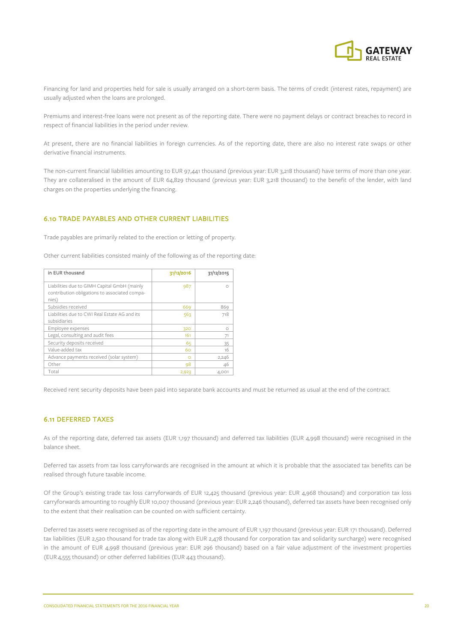

Financing for land and properties held for sale is usually arranged on a short-term basis. The terms of credit (interest rates, repayment) are usually adjusted when the loans are prolonged.

Premiums and interest-free loans were not present as of the reporting date. There were no payment delays or contract breaches to record in respect of financial liabilities in the period under review.

At present, there are no financial liabilities in foreign currencies. As of the reporting date, there are also no interest rate swaps or other derivative financial instruments.

The non-current financial liabilities amounting to EUR 97,441 thousand (previous year: EUR 3,218 thousand) have terms of more than one year. They are collateralised in the amount of EUR 64,829 thousand (previous year: EUR 3,218 thousand) to the benefit of the lender, with land charges on the properties underlying the financing.

#### 6.10 TRADE PAYABLES AND OTHER CURRENT LIABILITIES

Trade payables are primarily related to the erection or letting of property.

Other current liabilities consisted mainly of the following as of the reporting date:

| in EUR thousand                                               | 31/12/2016 | 31/12/2015 |
|---------------------------------------------------------------|------------|------------|
| Liabilities due to GIMH Capital GmbH (mainly                  | 987        | Ω          |
| contribution obligations to associated compa-<br>nies)        |            |            |
| Subsidies received                                            | 669        | 869        |
| Liabilities due to CWI Real Estate AG and its<br>subsidiaries | 563        | 718        |
| Employee expenses                                             | 320        | $\Omega$   |
| Legal, consulting and audit fees                              | 161        | 71         |
| Security deposits received                                    | 65         | 35         |
| Value-added tax                                               | 60         | 16         |
| Advance payments received (solar system)                      | $\Omega$   | 2,246      |
| Other                                                         | 98         | 46         |
| Total                                                         | 2,923      | 4,001      |

Received rent security deposits have been paid into separate bank accounts and must be returned as usual at the end of the contract.

#### 6.11 DEFERRED TAXES

As of the reporting date, deferred tax assets (EUR 1,197 thousand) and deferred tax liabilities (EUR 4,998 thousand) were recognised in the balance sheet.

Deferred tax assets from tax loss carryforwards are recognised in the amount at which it is probable that the associated tax benefits can be realised through future taxable income.

Of the Group's existing trade tax loss carryforwards of EUR 12,425 thousand (previous year: EUR 4,968 thousand) and corporation tax loss carryforwards amounting to roughly EUR 10,007 thousand (previous year: EUR 2,246 thousand), deferred tax assets have been recognised only to the extent that their realisation can be counted on with sufficient certainty.

Deferred tax assets were recognised as of the reporting date in the amount of EUR 1,197 thousand (previous year: EUR 171 thousand). Deferred tax liabilities (EUR 2,520 thousand for trade tax along with EUR 2,478 thousand for corporation tax and solidarity surcharge) were recognised in the amount of EUR 4,998 thousand (previous year: EUR 296 thousand) based on a fair value adjustment of the investment properties (EUR 4,555 thousand) or other deferred liabilities (EUR 443 thousand).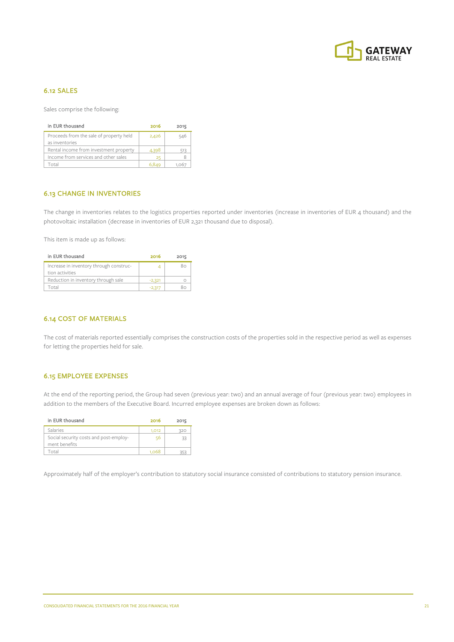

## 6.12 SALES

Sales comprise the following:

| in EUR thousand                         | 2016  | 2015 |
|-----------------------------------------|-------|------|
| Proceeds from the sale of property held | 2,426 | 546  |
| as inventories                          |       |      |
| Rental income from investment property  | 4,398 | 513  |
| Income from services and other sales    | 25    |      |
| Total                                   | 6.849 |      |

## 6.13 CHANGE IN INVENTORIES

The change in inventories relates to the logistics properties reported under inventories (increase in inventories of EUR 4 thousand) and the photovoltaic installation (decrease in inventories of EUR 2,321 thousand due to disposal).

This item is made up as follows:

| in EUR thousand                                        | 2016     | 2015 |
|--------------------------------------------------------|----------|------|
| Increase in inventory through construc-                |          | מא   |
| tion activities<br>Reduction in inventory through sale | $-2,321$ |      |
| nta                                                    |          |      |

#### 6.14 COST OF MATERIALS

The cost of materials reported essentially comprises the construction costs of the properties sold in the respective period as well as expenses for letting the properties held for sale.

## 6.15 EMPLOYEE EXPENSES

At the end of the reporting period, the Group had seven (previous year: two) and an annual average of four (previous year: two) employees in addition to the members of the Executive Board. Incurred employee expenses are broken down as follows:

| in EUR thousand                        | 2016  | 2015 |
|----------------------------------------|-------|------|
| Salaries                               | 1,012 | 320  |
| Social security costs and post-employ- | 56    | 33   |
| ment benefits                          |       |      |
| `otal                                  | 1068  |      |

Approximately half of the employer's contribution to statutory social insurance consisted of contributions to statutory pension insurance.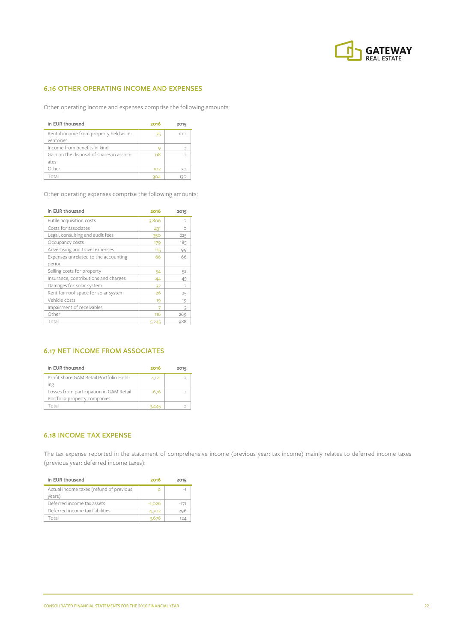

## 6.16 OTHER OPERATING INCOME AND EXPENSES

Other operating income and expenses comprise the following amounts:

| in EUR thousand                                      | 2016 | 2015 |
|------------------------------------------------------|------|------|
| Rental income from property held as in-<br>ventories | 75   | 100  |
| Income from benefits in kind                         | c    |      |
| Gain on the disposal of shares in associ-            | 118  |      |
| ates                                                 |      |      |
| Other                                                | 102  | 30   |
| Total                                                | 304  | 12C  |

Other operating expenses comprise the following amounts:

| in EUR thousand                      | 2016  | 2015         |
|--------------------------------------|-------|--------------|
| Futile acquisition costs             | 3,806 | $\bigcirc$   |
| Costs for associates                 | 431   | Ω            |
| Legal, consulting and audit fees     | 350   | 225          |
| Occupancy costs                      | 179   | 185          |
| Advertising and travel expenses      | 115   | 99           |
| Expenses unrelated to the accounting | 66    | 66           |
| period                               |       |              |
| Selling costs for property           | 54    | 52           |
| Insurance, contributions and charges | 44    | 45           |
| Damages for solar system             | 32    | Ω            |
| Rent for roof space for solar system | 26    | 25           |
| Vehicle costs                        | 19    | 19           |
| Impairment of receivables            |       | $\mathbf{R}$ |
| Other                                | 116   | 269          |
| Total                                | 5,245 | 988          |

## 6.17 NET INCOME FROM ASSOCIATES

| in EUR thousand                                                         | 2016   | 2015 |
|-------------------------------------------------------------------------|--------|------|
| Profit share GAM Retail Portfolio Hold-<br>ıng                          | 4,121  |      |
| Losses from participation in GAM Retail<br>Portfolio property companies | $-676$ |      |
| Total                                                                   | 3.445  |      |

## 6.18 INCOME TAX EXPENSE

The tax expense reported in the statement of comprehensive income (previous year: tax income) mainly relates to deferred income taxes (previous year: deferred income taxes):

| in EUR thousand                                   | 2016     | 2015  |
|---------------------------------------------------|----------|-------|
| Actual income taxes (refund of previous<br>years) |          | -1    |
| Deferred income tax assets                        | $-1.026$ | $-17$ |
| Deferred income tax liabilities                   | 4,702    | 296   |
| `otal                                             | 3.676    | 124   |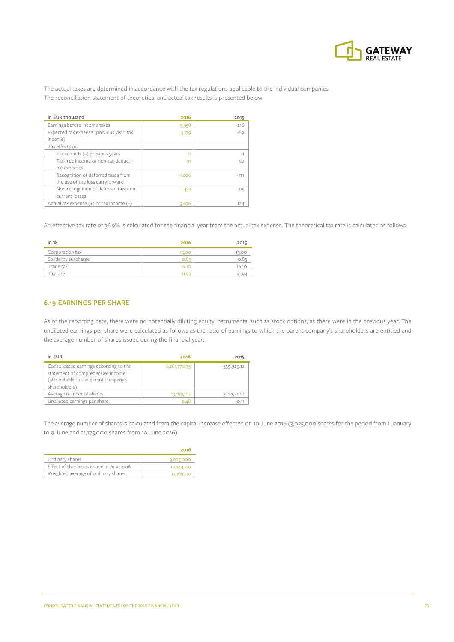

The actual taxes are determined in accordance with the tax regulations applicable to the individual companies. The reconciliation statement of theoretical and actual tax results is presented below:

| in EUR thousand                              | 2016     | 2015   |
|----------------------------------------------|----------|--------|
| Earnings before income taxes                 | 9,958    | $-216$ |
| Expected tax expense (previous year: tax     | 3,179    | $-69$  |
| income)                                      |          |        |
| Tax effects on                               |          |        |
| Tax refunds (-) previous years               | $\Omega$ | $-1$   |
| Tax-free income or non-tax-deducti-          | 91       | 50     |
| ble expenses                                 |          |        |
| Recognition of deferred taxes from           | $-1,026$ | $-171$ |
| the use of the loss carryforward             |          |        |
| Non-recognition of deferred taxes on         | 1,432    | 315    |
| current losses                               |          |        |
| Actual tax expense $(+)$ or tax income $(-)$ | 3,676    | 124    |

An effective tax rate of 36.9% is calculated for the financial year from the actual tax expense. The theoretical tax rate is calculated as follows:

| in $%$               | 2016  | 2015  |
|----------------------|-------|-------|
| Corporation tax      | 15.00 |       |
| Solidarity surcharge |       |       |
| Trade tax            | 16.10 | 16.10 |
| Tax rate             | 31.93 |       |

#### 6.19 EARNINGS PER SHARE

As of the reporting date, there were no potentially diluting equity instruments, such as stock options, as there were in the previous year. The undiluted earnings per share were calculated as follows as the ratio of earnings to which the parent company's shareholders are entitled and the average number of shares issued during the financial year:

| in EUR                                                                                                                                | 2016         | 2015          |
|---------------------------------------------------------------------------------------------------------------------------------------|--------------|---------------|
| Consolidated earnings according to the<br>statement of comprehensive income<br>(attributable to the parent company's<br>shareholders) | 6,281,770.75 | $-339,929.12$ |
| Average number of shares                                                                                                              | 13,169,110   | 3,025,000     |
| Undiluted earnings per share                                                                                                          | 0.48         | $-0.1$        |

The average number of shares is calculated from the capital increase effected on 10 June 2016 (3,025,000 shares for the period from 1 January to 9 June and 21,175,000 shares from 10 June 2016):

|                                          | 2016       |
|------------------------------------------|------------|
| Ordinary shares                          | 3,025,000  |
| Effect of the shares issued in June 2016 | 10,144,110 |
| Weighted average of ordinary shares      | 13,169,110 |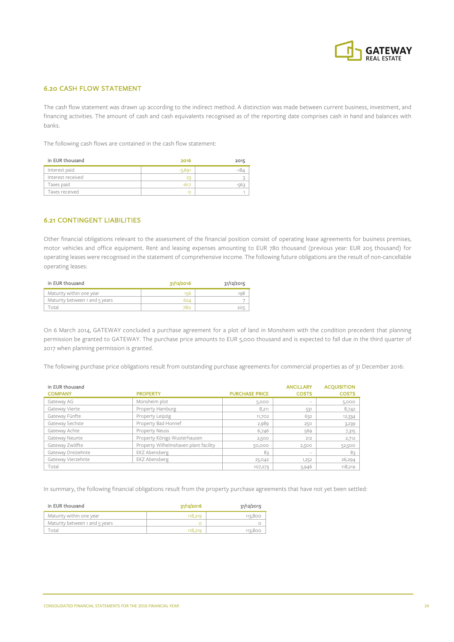

## 6.20 CASH FLOW STATEMENT

The cash flow statement was drawn up according to the indirect method. A distinction was made between current business, investment, and financing activities. The amount of cash and cash equivalents recognised as of the reporting date comprises cash in hand and balances with banks.

The following cash flows are contained in the cash flow statement:

| in EUR thousand   | 2016    | 2015 |
|-------------------|---------|------|
| Interest paid     | $-2,69$ | - 18 |
| Interest received |         |      |
| Taxes paid        |         |      |
| Taxes received    |         |      |

#### 6.21 CONTINGENT LIABILITIES

Other financial obligations relevant to the assessment of the financial position consist of operating lease agreements for business premises, motor vehicles and office equipment. Rent and leasing expenses amounting to EUR 780 thousand (previous year: EUR 205 thousand) for operating leases were recognised in the statement of comprehensive income. The following future obligations are the result of non-cancellable operating leases:

| in EUR thousand                | 31/12/2016 | 31/12/2015 |
|--------------------------------|------------|------------|
| Maturity within one year       | 15F        |            |
| Maturity between 1 and 5 years | 624        |            |
| ntal                           | 78c        |            |

On 6 March 2014, GATEWAY concluded a purchase agreement for a plot of land in Monsheim with the condition precedent that planning permission be granted to GATEWAY. The purchase price amounts to EUR 5,000 thousand and is expected to fall due in the third quarter of 2017 when planning permission is granted.

The following purchase price obligations result from outstanding purchase agreements for commercial properties as of 31 December 2016:

| in EUR thousand    |                                       |                       | <b>ANCILLARY</b> | <b>ACQUISITION</b> |
|--------------------|---------------------------------------|-----------------------|------------------|--------------------|
| <b>COMPANY</b>     | <b>PROPERTY</b>                       | <b>PURCHASE PRICE</b> | <b>COSTS</b>     | <b>COSTS</b>       |
| Gateway AG         | Monsheim plot                         | 5,000                 | -                | 5,000              |
| Gateway Vierte     | Property Hamburg                      | 8,211                 | 531              | 8,742              |
| Gateway Fünfte     | Property Leipzig                      | 11,702                | 632              | 12,334             |
| Gateway Sechste    | Property Bad Honnef                   | 2,989                 | 250              | 3,239              |
| Gateway Achte      | Property Neuss                        | 6,746                 | 569              | 7,315              |
| Gateway Neunte     | Property Königs Wusterhausen          | 2,500                 | 212              | 2,712              |
| Gateway Zwölfte    | Property Wilhelmshaven plant facility | 50,000                | 2,500            | 52,500             |
| Gateway Dreizehnte | EKZ Abensberg                         | 83                    | -                | 83                 |
| Gateway Vierzehnte | EKZ Abensberg                         | 25,042                | 1,252            | 26,294             |
| Total              |                                       | 107,273               | 5,946            | 118,219            |

In summary, the following financial obligations result from the property purchase agreements that have not yet been settled:

| in EUR thousand                | 31/12/2016 | 31/12/2015 |
|--------------------------------|------------|------------|
| Maturity within one year       | 118,219    | 113,800    |
| Maturity between 1 and 5 years |            |            |
| "otal                          | 118 210    | 113,800    |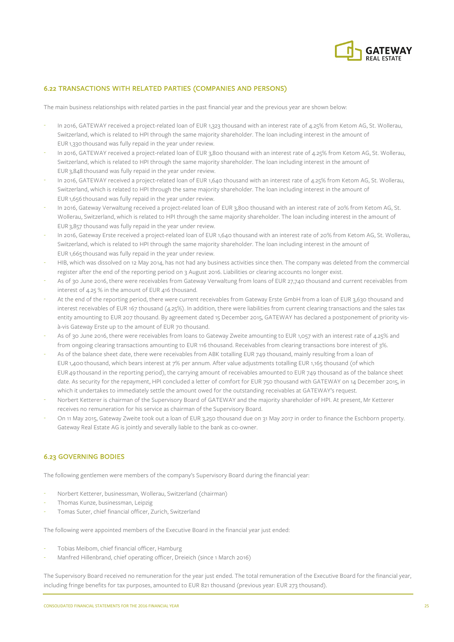

## 6.22 TRANSACTIONS WITH RELATED PARTIES (COMPANIES AND PERSONS)

The main business relationships with related parties in the past financial year and the previous year are shown below:

- In 2016, GATEWAY received a project-related loan of EUR 1,323 thousand with an interest rate of 4.25% from Ketom AG, St. Wollerau, Switzerland, which is related to HPI through the same majority shareholder. The loan including interest in the amount of EUR 1,330 thousand was fully repaid in the year under review.
- In 2016, GATEWAY received a project-related loan of EUR 3,800 thousand with an interest rate of 4.25% from Ketom AG, St. Wollerau, Switzerland, which is related to HPI through the same majority shareholder. The loan including interest in the amount of EUR 3,848 thousand was fully repaid in the year under review.
- In 2016, GATEWAY received a project-related loan of EUR 1,640 thousand with an interest rate of 4.25% from Ketom AG, St. Wollerau, Switzerland, which is related to HPI through the same majority shareholder. The loan including interest in the amount of EUR 1,656 thousand was fully repaid in the year under review.
- In 2016, Gateway Verwaltung received a project-related loan of EUR 3,800 thousand with an interest rate of 20% from Ketom AG, St. Wollerau, Switzerland, which is related to HPI through the same majority shareholder. The loan including interest in the amount of EUR 3,857 thousand was fully repaid in the year under review.
- In 2016, Gateway Erste received a project-related loan of EUR 1,640 thousand with an interest rate of 20% from Ketom AG, St. Wollerau, Switzerland, which is related to HPI through the same majority shareholder. The loan including interest in the amount of EUR 1,665 thousand was fully repaid in the year under review.
- HIB, which was dissolved on 12 May 2014, has not had any business activities since then. The company was deleted from the commercial register after the end of the reporting period on 3 August 2016. Liabilities or clearing accounts no longer exist.
- As of 30 June 2016, there were receivables from Gateway Verwaltung from loans of EUR 27,740 thousand and current receivables from interest of 4.25 % in the amount of EUR 416 thousand.
- At the end of the reporting period, there were current receivables from Gateway Erste GmbH from a loan of EUR 3,630 thousand and interest receivables of EUR 167 thousand (4.25%). In addition, there were liabilities from current clearing transactions and the sales tax entity amounting to EUR 207 thousand. By agreement dated 15 December 2015, GATEWAY has declared a postponement of priority visà-vis Gateway Erste up to the amount of EUR 70 thousand.
- As of 30 June 2016, there were receivables from loans to Gateway Zweite amounting to EUR 1,057 with an interest rate of 4.25% and from ongoing clearing transactions amounting to EUR 116 thousand. Receivables from clearing transactions bore interest of 3%.
- As of the balance sheet date, there were receivables from ABK totalling EUR 749 thousand, mainly resulting from a loan of EUR 1,400 thousand, which bears interest at 7% per annum. After value adjustments totalling EUR 1,165 thousand (of which EUR 49 thousand in the reporting period), the carrying amount of receivables amounted to EUR 749 thousand as of the balance sheet date. As security for the repayment, HPI concluded a letter of comfort for EUR 750 thousand with GATEWAY on 14 December 2015, in which it undertakes to immediately settle the amount owed for the outstanding receivables at GATEWAY's request.
- Norbert Ketterer is chairman of the Supervisory Board of GATEWAY and the majority shareholder of HPI. At present, Mr Ketterer receives no remuneration for his service as chairman of the Supervisory Board.
- On 11 May 2015, Gateway Zweite took out a loan of EUR 3,250 thousand due on 31 May 2017 in order to finance the Eschborn property. Gateway Real Estate AG is jointly and severally liable to the bank as co-owner.

## 6.23 GOVERNING BODIES

The following gentlemen were members of the company's Supervisory Board during the financial year:

- Norbert Ketterer, businessman, Wollerau, Switzerland (chairman)
- Thomas Kunze, businessman, Leipzig
- Tomas Suter, chief financial officer, Zurich, Switzerland

The following were appointed members of the Executive Board in the financial year just ended:

- Tobias Meibom, chief financial officer, Hamburg
- Manfred Hillenbrand, chief operating officer, Dreieich (since 1 March 2016)

The Supervisory Board received no remuneration for the year just ended. The total remuneration of the Executive Board for the financial year, including fringe benefits for tax purposes, amounted to EUR 821 thousand (previous year: EUR 273 thousand).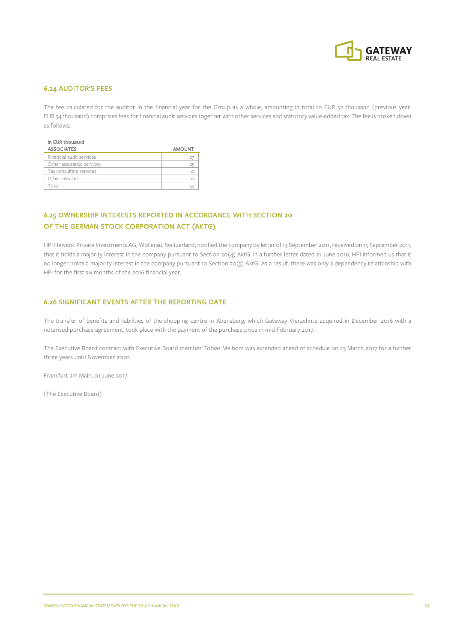

## 6.24 AUDITOR'S FEES

The fee calculated for the auditor in the financial year for the Group as a whole, amounting in total to EUR 52 thousand (previous year: EUR 54 thousand) comprises fees for financial audit services together with other services and statutory value-added tax. The fee is broken down as follows:

| <b>ASSOCIATES</b>        | <b>AMOUNT</b> |
|--------------------------|---------------|
| Financial audit services |               |
| Other assurance services | 25            |
| Tax consulting services  |               |
| Other services           |               |
| otal                     |               |

## 6.25 OWNERSHIP INTERESTS REPORTED IN ACCORDANCE WITH SECTION 20 OF THE GERMAN STOCK CORPORATION ACT (AKTG)

HPI Helvetic Private Investments AG, Wollerau, Switzerland, notified the company by letter of 13 September 2011, received on 15 September 2011, that it holds a majority interest in the company pursuant to Section 20(4) AktG. In a further letter dated 21 June 2016, HPI informed us that it no longer holds a majority interest in the company pursuant to Section 20(5) AktG. As a result, there was only a dependency relationship with HPI for the first six months of the 2016 financial year.

#### 6.26 SIGNIFICANT EVENTS AFTER THE REPORTING DATE

The transfer of benefits and liabilities of the shopping centre in Abensberg, which Gateway Vierzehnte acquired in December 2016 with a notarised purchase agreement, took place with the payment of the purchase price in mid-February 2017.

The Executive Board contract with Executive Board member Tobias Meibom was extended ahead of schedule on 23 March 2017 for a further three years until November 2020.

Frankfurt am Main, 01 June 2017

(The Executive Board)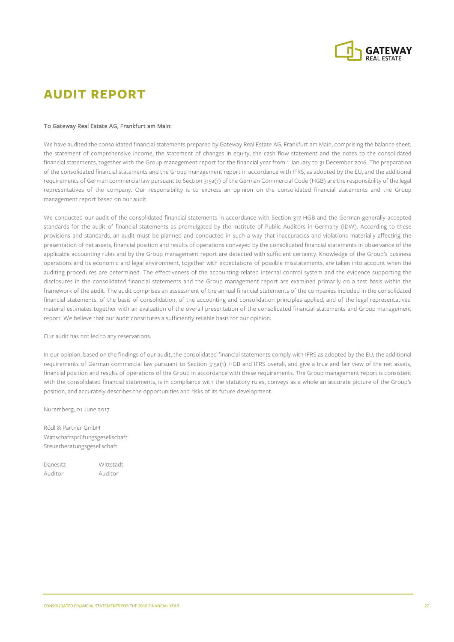

## **AUDIT REPORT**

#### To Gateway Real Estate AG, Frankfurt am Main:

We have audited the consolidated financial statements prepared by Gateway Real Estate AG, Frankfurt am Main, comprising the balance sheet, the statement of comprehensive income, the statement of changes in equity, the cash flow statement and the notes to the consolidated financial statements, together with the Group management report for the financial year from 1 January to 31 December 2016. The preparation of the consolidated financial statements and the Group management report in accordance with IFRS, as adopted by the EU, and the additional requirements of German commercial law pursuant to Section 315a(1) of the German Commercial Code (HGB) are the responsibility of the legal representatives of the company. Our responsibility is to express an opinion on the consolidated financial statements and the Group management report based on our audit.

We conducted our audit of the consolidated financial statements in accordance with Section 317 HGB and the German generally accepted standards for the audit of financial statements as promulgated by the Institute of Public Auditors in Germany (IDW). According to these provisions and standards, an audit must be planned and conducted in such a way that inaccuracies and violations materially affecting the presentation of net assets, financial position and results of operations conveyed by the consolidated financial statements in observance of the applicable accounting rules and by the Group management report are detected with sufficient certainty. Knowledge of the Group's business operations and its economic and legal environment, together with expectations of possible misstatements, are taken into account when the auditing procedures are determined. The effectiveness of the accounting-related internal control system and the evidence supporting the disclosures in the consolidated financial statements and the Group management report are examined primarily on a test basis within the framework of the audit. The audit comprises an assessment of the annual financial statements of the companies included in the consolidated financial statements, of the basis of consolidation, of the accounting and consolidation principles applied, and of the legal representatives' material estimates together with an evaluation of the overall presentation of the consolidated financial statements and Group management report. We believe that our audit constitutes a sufficiently reliable basis for our opinion.

Our audit has not led to any reservations.

In our opinion, based on the findings of our audit, the consolidated financial statements comply with IFRS as adopted by the EU, the additional requirements of German commercial law pursuant to Section 315a(1) HGB and IFRS overall, and give a true and fair view of the net assets, financial position and results of operations of the Group in accordance with these requirements. The Group management report is consistent with the consolidated financial statements, is in compliance with the statutory rules, conveys as a whole an accurate picture of the Group's position, and accurately describes the opportunities and risks of its future development.

Nuremberg, 01 June 2017

Rödl & Partner GmbH Wirtschaftsprüfungsgesellschaft Steuerberatungsgesellschaft

Danesitz Wittstadt Auditor Auditor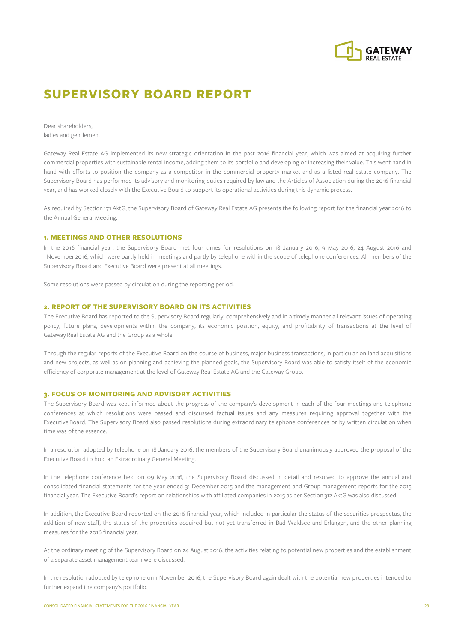

## **SUPERVISORY BOARD REPORT**

Dear shareholders, ladies and gentlemen,

Gateway Real Estate AG implemented its new strategic orientation in the past 2016 financial year, which was aimed at acquiring further commercial properties with sustainable rental income, adding them to its portfolio and developing or increasing their value. This went hand in hand with efforts to position the company as a competitor in the commercial property market and as a listed real estate company. The Supervisory Board has performed its advisory and monitoring duties required by law and the Articles of Association during the 2016 financial year, and has worked closely with the Executive Board to support its operational activities during this dynamic process.

As required by Section 171 AktG, the Supervisory Board of Gateway Real Estate AG presents the following report for the financial year 2016 to the Annual General Meeting.

#### **1. MEETINGS AND OTHER RESOLUTIONS**

In the 2016 financial year, the Supervisory Board met four times for resolutions on 18 January 2016, 9 May 2016, 24 August 2016 and 1November 2016, which were partly held in meetings and partly by telephone within the scope of telephone conferences. All members of the Supervisory Board and Executive Board were present at all meetings.

Some resolutions were passed by circulation during the reporting period.

#### **2. REPORT OF THE SUPERVISORY BOARD ON ITS ACTIVITIES**

The Executive Board has reported to the Supervisory Board regularly, comprehensively and in a timely manner all relevant issues of operating policy, future plans, developments within the company, its economic position, equity, and profitability of transactions at the level of Gateway Real Estate AG and the Group as a whole.

Through the regular reports of the Executive Board on the course of business, major business transactions, in particular on land acquisitions and new projects, as well as on planning and achieving the planned goals, the Supervisory Board was able to satisfy itself of the economic efficiency of corporate management at the level of Gateway Real Estate AG and the Gateway Group.

#### **3. FOCUS OF MONITORING AND ADVISORY ACTIVITIES**

The Supervisory Board was kept informed about the progress of the company's development in each of the four meetings and telephone conferences at which resolutions were passed and discussed factual issues and any measures requiring approval together with the Executive Board. The Supervisory Board also passed resolutions during extraordinary telephone conferences or by written circulation when time was of the essence.

In a resolution adopted by telephone on 18 January 2016, the members of the Supervisory Board unanimously approved the proposal of the Executive Board to hold an Extraordinary General Meeting.

In the telephone conference held on 09 May 2016, the Supervisory Board discussed in detail and resolved to approve the annual and consolidated financial statements for the year ended 31 December 2015 and the management and Group management reports for the 2015 financial year. The Executive Board's report on relationships with affiliated companies in 2015 as per Section 312 AktG was also discussed.

In addition, the Executive Board reported on the 2016 financial year, which included in particular the status of the securities prospectus, the addition of new staff, the status of the properties acquired but not yet transferred in Bad Waldsee and Erlangen, and the other planning measures for the 2016 financial year.

At the ordinary meeting of the Supervisory Board on 24 August 2016, the activities relating to potential new properties and the establishment of a separate asset management team were discussed.

In the resolution adopted by telephone on 1 November 2016, the Supervisory Board again dealt with the potential new properties intended to further expand the company's portfolio.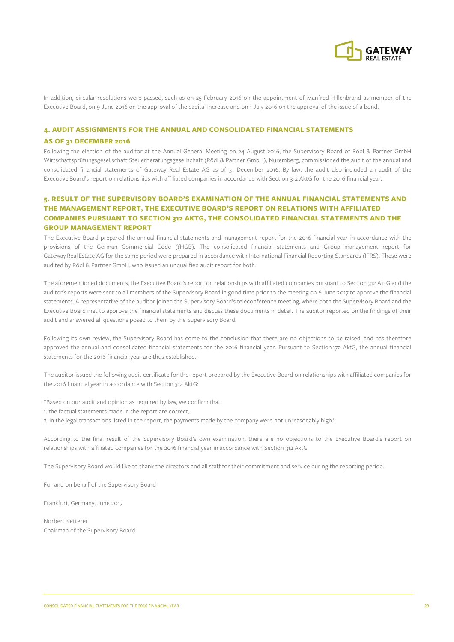

In addition, circular resolutions were passed, such as on 25 February 2016 on the appointment of Manfred Hillenbrand as member of the Executive Board, on 9 June 2016 on the approval of the capital increase and on 1 July 2016 on the approval of the issue of a bond.

#### **4. AUDIT ASSIGNMENTS FOR THE ANNUAL AND CONSOLIDATED FINANCIAL STATEMENTS**

#### **AS OF 31 DECEMBER 2016**

Following the election of the auditor at the Annual General Meeting on 24 August 2016, the Supervisory Board of Rödl & Partner GmbH Wirtschaftsprüfungsgesellschaft Steuerberatungsgesellschaft (Rödl & Partner GmbH), Nuremberg, commissioned the audit of the annual and consolidated financial statements of Gateway Real Estate AG as of 31 December 2016. By law, the audit also included an audit of the Executive Board's report on relationships with affiliated companies in accordance with Section 312 AktG for the 2016 financial year.

## **5. RESULT OF THE SUPERVISORY BOARD'S EXAMINATION OF THE ANNUAL FINANCIAL STATEMENTS AND THE MANAGEMENT REPORT, THE EXECUTIVE BOARD'S REPORT ON RELATIONS WITH AFFILIATED COMPANIES PURSUANT TO SECTION 312 AKTG, THE CONSOLIDATED FINANCIAL STATEMENTS AND THE GROUP MANAGEMENT REPORT**

The Executive Board prepared the annual financial statements and management report for the 2016 financial year in accordance with the provisions of the German Commercial Code ((HGB). The consolidated financial statements and Group management report for Gateway Real Estate AG for the same period were prepared in accordance with International Financial Reporting Standards (IFRS). These were audited by Rödl & Partner GmbH, who issued an unqualified audit report for both.

The aforementioned documents, the Executive Board's report on relationships with affiliated companies pursuant to Section 312 AktG and the auditor's reports were sent to all members of the Supervisory Board in good time prior to the meeting on 6 June 2017 to approve the financial statements. A representative of the auditor joined the Supervisory Board's teleconference meeting, where both the Supervisory Board and the Executive Board met to approve the financial statements and discuss these documents in detail. The auditor reported on the findings of their audit and answered all questions posed to them by the Supervisory Board.

Following its own review, the Supervisory Board has come to the conclusion that there are no objections to be raised, and has therefore approved the annual and consolidated financial statements for the 2016 financial year. Pursuant to Section 172 AktG, the annual financial statements for the 2016 financial year are thus established.

The auditor issued the following audit certificate for the report prepared by the Executive Board on relationships with affiliated companies for the 2016 financial year in accordance with Section 312 AktG:

"Based on our audit and opinion as required by law, we confirm that

- 1. the factual statements made in the report are correct,
- 2. in the legal transactions listed in the report, the payments made by the company were not unreasonably high."

According to the final result of the Supervisory Board's own examination, there are no objections to the Executive Board's report on relationships with affiliated companies for the 2016 financial year in accordance with Section 312 AktG.

The Supervisory Board would like to thank the directors and all staff for their commitment and service during the reporting period.

For and on behalf of the Supervisory Board

Frankfurt, Germany, June 2017

Norbert Ketterer Chairman of the Supervisory Board